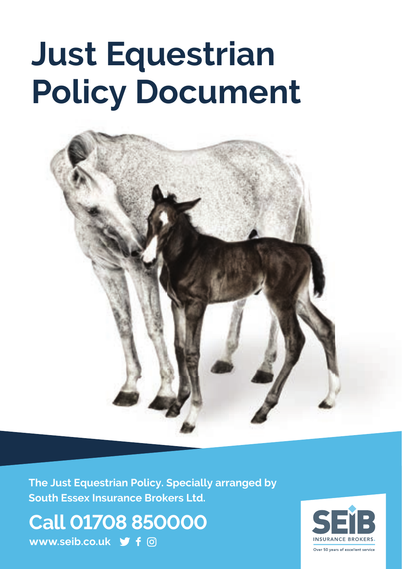# **Just Equestrian Policy Document**



**The Just Equestrian Policy. Specially arranged by South Essex Insurance Brokers Ltd.**

**Call 01708 850000 www.seib.co.uk**

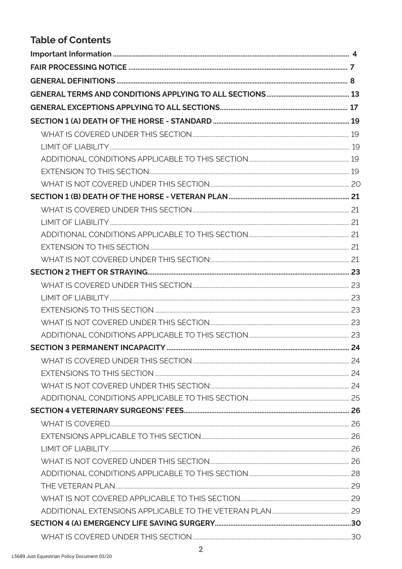# **Table of Contents**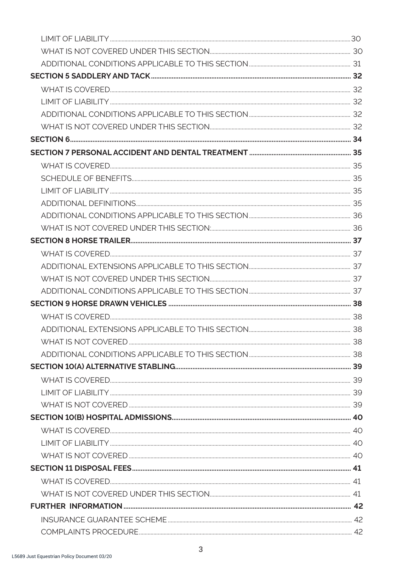| COMPLAINTS PROCEDURE 42 |  |
|-------------------------|--|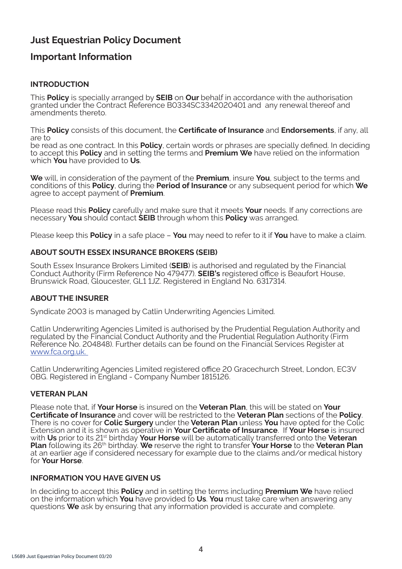# **Just Equestrian Policy Document**

# **Important Information**

# **INTRODUCTION**

This **Policy** is specially arranged by **SEIB** on **Our** behalf in accordance with the authorisation granted under the Contract Reference B0334SC3342020401 and any renewal thereof and amendments thereto.

This **Policy** consists of this document, the **Certificate of Insurance** and **Endorsements**, if any, all are to

be read as one contract. In this **Policy**, certain words or phrases are specially defined. In deciding to accept this **Policy** and in setting the terms and **Premium We** have relied on the information which **You** have provided to **Us**.

**We** will, in consideration of the payment of the **Premium**, insure **You**, subject to the terms and conditions of this **Policy**, during the **Period of Insurance** or any subsequent period for which **We** agree to accept payment of **Premium**.

Please read this **Policy** carefully and make sure that it meets **Your** needs. If any corrections are necessary **You** should contact **SEIB** through whom this **Policy** was arranged.

Please keep this **Policy** in a safe place – **You** may need to refer to it if **You** have to make a claim.

# **ABOUT SOUTH ESSEX INSURANCE BROKERS (SEIB)**

South Essex Insurance Brokers Limited (**SEIB**) is authorised and regulated by the Financial Conduct Authority (Firm Reference No 479477). **SEIB's** registered office is Beaufort House, Brunswick Road, Gloucester, GL1 1JZ. Registered in England No. 6317314.

# **ABOUT THE INSURER**

Syndicate 2003 is managed by Catlin Underwriting Agencies Limited.

Catlin Underwriting Agencies Limited is authorised by the Prudential Regulation Authority and regulated by the Financial Conduct Authority and the Prudential Regulation Authority (Firm Reference No. 204848). Further details can be found on the Financial Services Register at www.fca.org.uk.

Catlin Underwriting Agencies Limited registered office 20 Gracechurch Street, London, EC3V 0BG. Registered in England - Company Number 1815126.

# **VETERAN PLAN**

Please note that, if **Your Horse** is insured on the **Veteran Plan**, this will be stated on **Your Certificate of Insurance** and cover will be restricted to the **Veteran Plan** sections of the **Policy**. There is no cover for **Colic Surgery** under the **Veteran Plan** unless **You** have opted for the Colic Extension and it is shown as operative in **Your Certificate of Insurance**. If **Your Horse** is insured with **Us** prior to its 21st birthday **Your Horse** will be automatically transferred onto the **Veteran Plan** following its 26th birthday. **We** reserve the right to transfer **Your Horse** to the **Veteran Plan**  at an earlier age if considered necessary for example due to the claims and/or medical history for **Your Horse**.

### **INFORMATION YOU HAVE GIVEN US**

In deciding to accept this **Policy** and in setting the terms including **Premium We** have relied on the information which **You** have provided to **Us**. **You** must take care when answering any questions **We** ask by ensuring that any information provided is accurate and complete.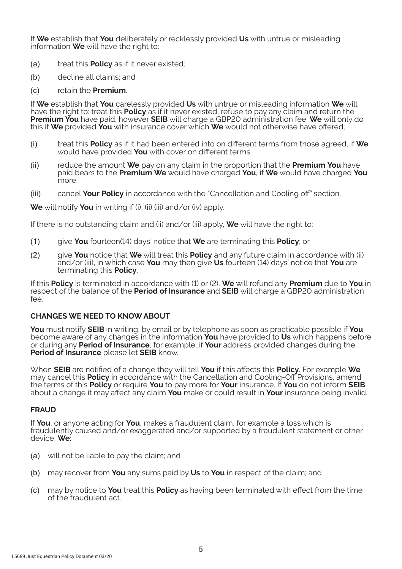If **We** establish that **You** deliberately or recklessly provided **Us** with untrue or misleading information **We** will have the right to:

- (a) treat this **Policy** as if it never existed;
- (b) decline all claims; and
- (c) retain the **Premium**.

If **We** establish that **You** carelessly provided **Us** with untrue or misleading information **We** will have the right to: treat this **Policy** as if it never existed, refuse to pay any claim and return the **Premium You** have paid, however **SEIB** will charge a GBP20 administration fee. **We** will only do this if **We** provided **You** with insurance cover which **We** would not otherwise have offered;

- (i) treat this **Policy** as if it had been entered into on different terms from those agreed, if **We** would have provided **You** with cover on different terms;
- (ii) reduce the amount **We** pay on any claim in the proportion that the **Premium You** have paid bears to the **Premium We** would have charged **You**, if **We** would have charged **You** m∩re
- (iii) cancel **Your Policy** in accordance with the "Cancellation and Cooling off" section.

**We** will notify **You** in writing if (i), (ii) (iii) and/or (iv) apply.

If there is no outstanding claim and (ii) and/or (iii) apply, **We** will have the right to:

- (1) give **You** fourteen(14) days' notice that **We** are terminating this **Policy**; or
- (2) give **You** notice that **We** will treat this **Policy** and any future claim in accordance with (ii) and/or (iii), in which case **You** may then give **Us** fourteen (14) days' notice that **You** are terminating this **Policy**.

If this **Policy** is terminated in accordance with (1) or (2), **We** will refund any **Premium** due to **You** in respect of the balance of the **Period of Insurance** and **SEIB** will charge a GBP20 administration fee.

### **CHANGES WE NEED TO KNOW ABOUT**

**You** must notify **SEIB** in writing, by email or by telephone as soon as practicable possible if **You** become aware of any changes in the information **You** have provided to **Us** which happens before or during any **Period of Insurance**, for example, if **Your** address provided changes during the **Period of Insurance** please let **SEIB** know.

When **SEIB** are notified of a change they will tell **You** if this affects this **Policy**. For example **We** may cancel this **Policy** in accordance with the Cancellation and Cooling-Off Provisions, amend the terms of this **Policy** or require **You** to pay more for **Your** insurance. If **You** do not inform **SEIB**  about a change it may affect any claim **You** make or could result in **Your** insurance being invalid.

#### **FRAUD**

If **You**, or anyone acting for **You**, makes a fraudulent claim, for example a loss which is fraudulently caused and/or exaggerated and/or supported by a fraudulent statement or other device, **We**:

- (a) will not be liable to pay the claim; and
- (b) may recover from **You** any sums paid by **Us** to **You** in respect of the claim; and
- (c) may by notice to **You** treat this **Policy** as having been terminated with effect from the time of the fraudulent act.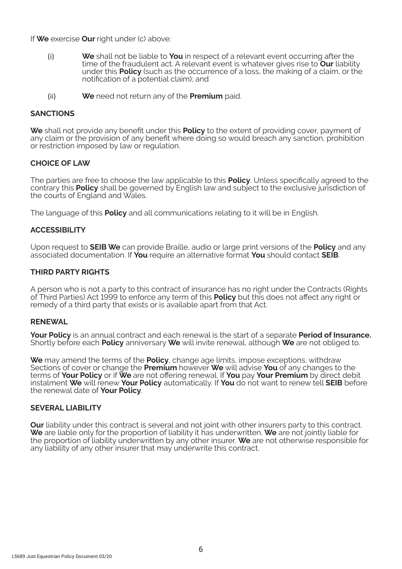If **We** exercise **Our** right under (c) above:

- (i) **We** shall not be liable to **You** in respect of a relevant event occurring after the time of the fraudulent act. A relevant event is whatever gives rise to **Our** liability under this **Policy** (such as the occurrence of a loss, the making of a claim, or the notification of a potential claim); and
- (ii) **We** need not return any of the **Premium** paid.

### **SANCTIONS**

**We** shall not provide any benefit under this **Policy** to the extent of providing cover, payment of any claim or the provision of any benefit where doing so would breach any sanction, prohibition or restriction imposed by law or regulation.

### **CHOICE OF LAW**

The parties are free to choose the law applicable to this **Policy**. Unless specifically agreed to the contrary this **Policy** shall be governed by English law and subject to the exclusive jurisdiction of the courts of England and Wales.

The language of this **Policy** and all communications relating to it will be in English.

### **ACCESSIBILITY**

Upon request to **SEIB We** can provide Braille, audio or large print versions of the **Policy** and any associated documentation. If **You** require an alternative format **You** should contact **SEIB**.

### **THIRD PARTY RIGHTS**

A person who is not a party to this contract of insurance has no right under the Contracts (Rights of Third Parties) Act 1999 to enforce any term of this **Policy** but this does not affect any right or remedy of a third party that exists or is available apart from that Act.

### **RENEWAL**

**Your Policy** is an annual contract and each renewal is the start of a separate **Period of Insurance.**  Shortly before each **Policy** anniversary **We** will invite renewal, although **We** are not obliged to.

**We** may amend the terms of the **Policy**, change age limits, impose exceptions, withdraw Sections of cover or change the **Premium** however **We** will advise **You** of any changes to the terms of **Your Policy** or if **We** are not offering renewal. If **You** pay **Your Premium** by direct debit instalment **We** will renew **Your Policy** automatically. If **You** do not want to renew tell **SEIB** before the renewal date of **Your Policy**.

#### **SEVERAL LIABILITY**

**Our** liability under this contract is several and not joint with other insurers party to this contract. **We** are liable only for the proportion of liability it has underwritten. **We** are not jointly liable for the proportion of liability underwritten by any other insurer. **We** are not otherwise responsible for any liability of any other insurer that may underwrite this contract.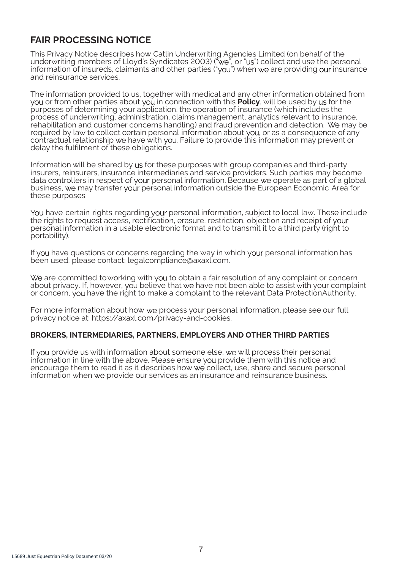# **FAIR PROCESSING NOTICE**

This Privacy Notice describes how Catlin Underwriting Agencies Limited (on behalf of the underwriting members of Lloyd's Syndicates 2003) ("we", or "us") collect and use the personal information of insureds, claimants and other parties ("you") when we are providing our insurance and reinsurance services.

The information provided to us, together with medical and any other information obtained from you or from other parties about you in connection with this **Policy**, will be used by us for the purposes of determining your application, the operation of insurance (which includes the process of underwriting, administration, claims management, analytics relevant to insurance, rehabilitation and customer concerns handling) and fraud prevention and detection. We may be required by law to collect certain personal information about you, or as a consequence of any contractual relationship we have with you. Failure to provide this information may prevent or delay the fulfilment of these obligations.

Information will be shared by us for these purposes with group companies and third-party insurers, reinsurers, insurance intermediaries and service providers. Such parties may become data controllers in respect of your personal information. Because we operate as part of a global business, we may transfer your personal information outside the European Economic Area for these purposes.

You have certain rights regarding your personal information, subject to local law. These include the rights to request access, rectification, erasure, restriction, objection and receipt of your personal information in a usable electronic format and to transmit it to a third party (right to portability).

If you have questions or concerns regarding the way in which your personal information has been used, please contact: legalcompliance@axaxl.com.

We are committed to working with you to obtain a fair resolution of any complaint or concern about privacy. If, however, you believe that we have not been able to assist with your complaint or concern, you have the right to make a complaint to the relevant Data Protection Authority.

For more information about how we process your personal information, please see our full privacy notice at: https://axaxl.com/privacy-and-cookies.

### **BROKERS, INTERMEDIARIES, PARTNERS, EMPLOYERS AND OTHER THIRD PARTIES**

If you provide us with information about someone else, we will process their personal information in line with the above. Please ensure you provide them with this notice and encourage them to read it as it describes how we collect, use, share and secure personal information when we provide our services as an insurance and reinsurance business.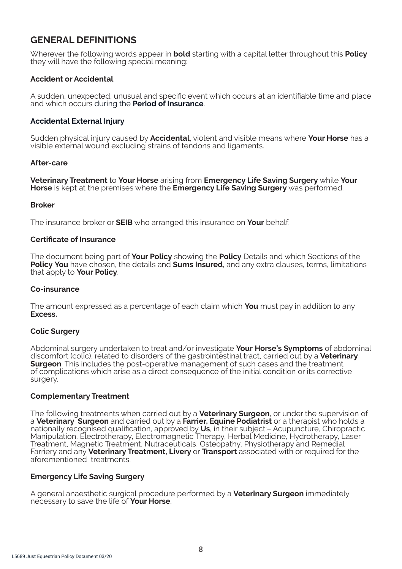# **GENERAL DEFINITIONS**

Wherever the following words appear in **bold** starting with a capital letter throughout this **Policy**  they will have the following special meaning:

### **Accident or Accidental**

A sudden, unexpected, unusual and specific event which occurs at an identifiable time and place and which occurs during the **Period of Insurance**.

### **Accidental External Injury**

Sudden physical injury caused by **Accidental**, violent and visible means where **Your Horse** has a visible external wound excluding strains of tendons and ligaments.

### **After-care**

**Veterinary Treatment** to **Your Horse** arising from **Emergency Life Saving Surgery** while **Your Horse** is kept at the premises where the **Emergency Life Saving Surgery** was performed.

#### **Broker**

The insurance broker or **SEIB** who arranged this insurance on **Your** behalf.

#### **Certificate of Insurance**

The document being part of **Your Policy** showing the **Policy** Details and which Sections of the **Policy You** have chosen, the details and **Sums Insured**, and any extra clauses, terms, limitations that apply to **Your Policy**.

#### **Co-insurance**

The amount expressed as a percentage of each claim which **You** must pay in addition to any **Excess.** 

### **Colic Surgery**

Abdominal surgery undertaken to treat and/or investigate **Your Horse's Symptoms** of abdominal discomfort (colic), related to disorders of the gastrointestinal tract, carried out by a **Veterinary Surgeon**. This includes the post-operative management of such cases and the treatment of complications which arise as a direct consequence of the initial condition or its corrective surgery.

### **Complementary Treatment**

The following treatments when carried out by a **Veterinary Surgeon**, or under the supervision of a **Veterinary Surgeon** and carried out by a **Farrier, Equine Podiatrist** or a therapist who holds a nationally recognised qualification, approved by **Us**, in their subject:– Acupuncture, Chiropractic Manipulation, Electrotherapy, Electromagnetic Therapy, Herbal Medicine, Hydrotherapy, Laser Treatment, Magnetic Treatment, Nutraceuticals, Osteopathy, Physiotherapy and Remedial Farriery and any **Veterinary Treatment, Livery** or **Transport** associated with or required for the aforementioned treatments.

### **Emergency Life Saving Surgery**

A general anaesthetic surgical procedure performed by a **Veterinary Surgeon** immediately necessary to save the life of **Your Horse**.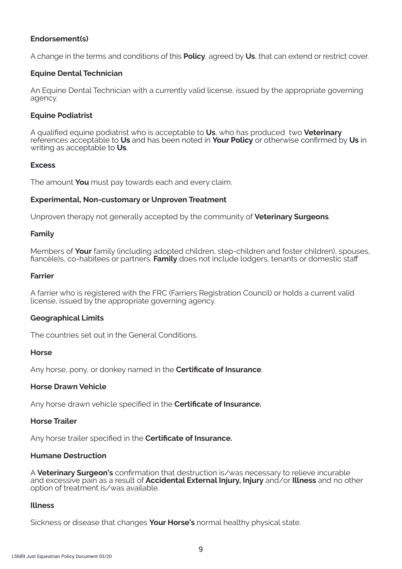### **Endorsement(s)**

A change in the terms and conditions of this **Policy**, agreed by **Us**, that can extend or restrict cover.

### **Equine Dental Technician**

An Equine Dental Technician with a currently valid license, issued by the appropriate governing agency.

### **Equine Podiatrist**

A qualified equine podiatrist who is acceptable to **Us**, who has produced two **Veterinary**  references acceptable to **Us** and has been noted in **Your Policy** or otherwise confirmed by **Us** in writing as acceptable to **Us**.

### **Excess**

The amount **You** must pay towards each and every claim.

### **Experimental, Non-customary or Unproven Treatment**

Unproven therapy not generally accepted by the community of **Veterinary Surgeons**.

### **Family**

Members of **Your** family (including adopted children, step-children and foster children), spouses, fiancé(e)s, co-habitees or partners. **Family** does not include lodgers, tenants or domestic staff

### **Farrier**

A farrier who is registered with the FRC (Farriers Registration Council) or holds a current valid license, issued by the appropriate governing agency.

### **Geographical Limits**

The countries set out in the General Conditions.

#### **Horse**

Any horse, pony, or donkey named in the **Certificate of Insurance**.

### **Horse Drawn Vehicle**

Any horse drawn vehicle specified in the **Certificate of Insurance.** 

### **Horse Trailer**

Any horse trailer specified in the **Certificate of Insurance.** 

# **Humane Destruction**

A **Veterinary Surgeon's** confirmation that destruction is/was necessary to relieve incurable and excessive pain as a result of **Accidental External Injury, Injury** and/or **Illness** and no other option of treatment is/was available.

# **Illness**

Sickness or disease that changes **Your Horse's** normal healthy physical state.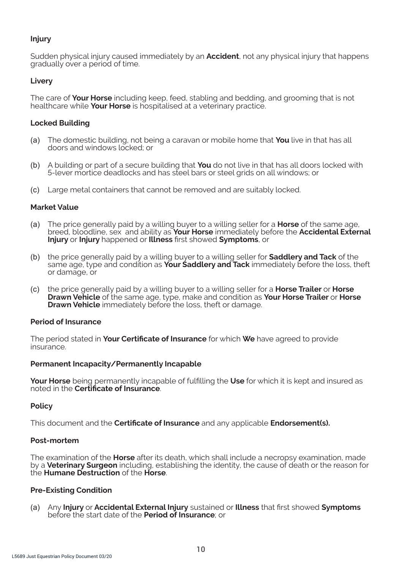### **Injury**

Sudden physical injury caused immediately by an **Accident**, not any physical injury that happens gradually over a period of time.

### **Livery**

The care of **Your Horse** including keep, feed, stabling and bedding, and grooming that is not healthcare while **Your Horse** is hospitalised at a veterinary practice.

### **Locked Building**

- (a) The domestic building, not being a caravan or mobile home that **You** live in that has all doors and windows locked; or
- (b) A building or part of a secure building that **You** do not live in that has all doors locked with 5-lever mortice deadlocks and has steel bars or steel grids on all windows; or
- (c) Large metal containers that cannot be removed and are suitably locked.

### **Market Value**

- (a) The price generally paid by a willing buyer to a willing seller for a **Horse** of the same age, breed, bloodline, sex and ability as **Your Horse** immediately before the **Accidental External Injury** or **Injury** happened or **Illness** first showed **Symptoms**, or
- (b) the price generally paid by a willing buyer to a willing seller for **Saddlery and Tack** of the same age, type and condition as **Your Saddlery and Tack** immediately before the loss, theft or damage, or
- (c) the price generally paid by a willing buyer to a willing seller for a **Horse Trailer** or **Horse Drawn Vehicle** of the same age, type, make and condition as **Your Horse Trailer** or **Horse Drawn Vehicle** immediately before the loss, theft or damage.

### **Period of Insurance**

The period stated in **Your Certificate of Insurance** for which **We** have agreed to provide insurance.

### **Permanent Incapacity/Permanently Incapable**

**Your Horse** being permanently incapable of fulfilling the **Use** for which it is kept and insured as noted in the **Certificate of Insurance**.

### **Policy**

This document and the **Certificate of Insurance** and any applicable **Endorsement(s).**

### **Post-mortem**

The examination of the **Horse** after its death, which shall include a necropsy examination, made by a **Veterinary Surgeon** including, establishing the identity, the cause of death or the reason for the **Humane Destruction** of the **Horse**.

### **Pre-Existing Condition**

(a) Any **Injury** or **Accidental External Injury** sustained or **Illness** that first showed **Symptoms** before the start date of the **Period of Insurance**; or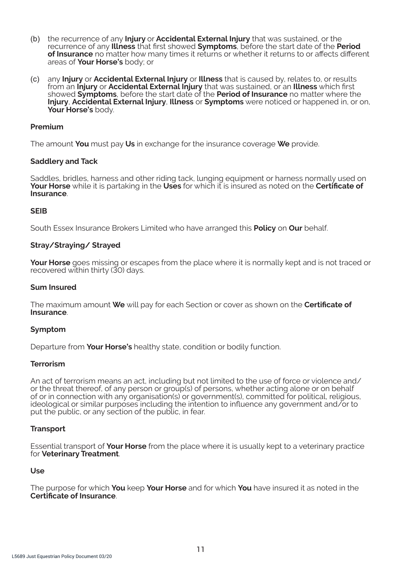- (b) the recurrence of any **Injury** or **Accidental External Injury** that was sustained, or the recurrence of any **Illness** that first showed **Symptoms**, before the start date of the **Period of Insurance** no matter how many times it returns or whether it returns to or affects different areas of **Your Horse's** body; or
- (c) any **Injury** or **Accidental External Injury** or **Illness** that is caused by, relates to, or results from an **Injury** or **Accidental External Injury** that was sustained, or an **Illness** which first showed **Symptoms**, before the start date of the **Period of Insurance** no matter where the **Injury**, **Accidental External Injury**, **Illness** or **Symptoms** were noticed or happened in, or on, **Your Horse's** body.

### **Premium**

The amount **You** must pay **Us** in exchange for the insurance coverage **We** provide.

### **Saddlery and Tack**

Saddles, bridles, harness and other riding tack, lunging equipment or harness normally used on **Your Horse** while it is partaking in the **Uses** for which it is insured as noted on the **Certificate of Insurance**.

#### **SEIB**

South Essex Insurance Brokers Limited who have arranged this **Policy** on **Our** behalf.

#### **Stray/Straying/ Strayed**

**Your Horse** goes missing or escapes from the place where it is normally kept and is not traced or recovered within thirty (30) days.

#### **Sum Insured**

The maximum amount **We** will pay for each Section or cover as shown on the **Certificate of Insurance**.

#### **Symptom**

Departure from **Your Horse's** healthy state, condition or bodily function.

#### **Terrorism**

An act of terrorism means an act, including but not limited to the use of force or violence and/ or the threat thereof, of any person or group(s) of persons, whether acting alone or on behalf of or in connection with any organisation(s) or government(s), committed for political, religious, ideological or similar purposes including the intention to influence any government and/or to put the public, or any section of the public, in fear.

#### **Transport**

Essential transport of **Your Horse** from the place where it is usually kept to a veterinary practice for **Veterinary Treatment**.

#### **Use**

The purpose for which **You** keep **Your Horse** and for which **You** have insured it as noted in the **Certificate of Insurance**.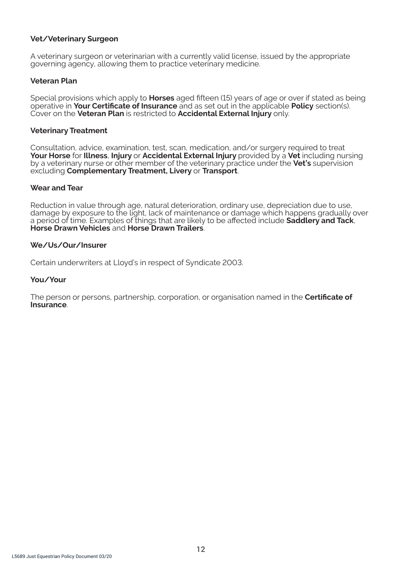### **Vet/Veterinary Surgeon**

A veterinary surgeon or veterinarian with a currently valid license, issued by the appropriate governing agency, allowing them to practice veterinary medicine.

### **Veteran Plan**

Special provisions which apply to **Horses** aged fifteen (15) years of age or over if stated as being operative in **Your Certificate of Insurance** and as set out in the applicable **Policy** section(s). Cover on the **Veteran Plan** is restricted to **Accidental External Injury** only.

### **Veterinary Treatment**

Consultation, advice, examination, test, scan, medication, and/or surgery required to treat **Your Horse** for **Illness**, **Injury** or **Accidental External Injury** provided by a **Vet** including nursing by a veterinary nurse or other member of the veterinary practice under the **Vet's** supervision excluding **Complementary Treatment, Livery** or **Transport**.

### **Wear and Tear**

Reduction in value through age, natural deterioration, ordinary use, depreciation due to use, damage by exposure to the light, lack of maintenance or damage which happens gradually over a period of time. Examples of things that are likely to be affected include **Saddlery and Tack**, **Horse Drawn Vehicles** and **Horse Drawn Trailers**.

### **We/Us/Our/Insurer**

Certain underwriters at Lloyd's in respect of Syndicate 2003.

### **You/Your**

The person or persons, partnership, corporation, or organisation named in the **Certificate of Insurance**.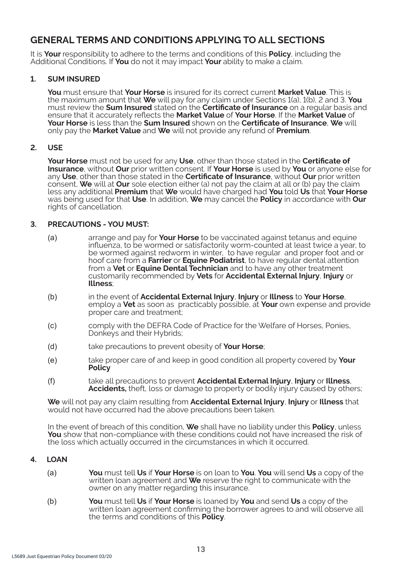# **GENERAL TERMS AND CONDITIONS APPLYING TO ALL SECTIONS**

It is **Your** responsibility to adhere to the terms and conditions of this **Policy**, including the Additional Conditions. If **You** do not it may impact **Your** ability to make a claim.

### **1. SUM INSURED**

**You** must ensure that **Your Horse** is insured for its correct current **Market Value**. This is the maximum amount that **We** will pay for any claim under Sections 1(a), 1(b), 2 and 3. **You**  must review the **Sum Insured** stated on the **Certificate of Insurance** on a regular basis and ensure that it accurately reflects the **Market Value** of **Your Horse**. If the **Market Value** of **Your Horse** is less than the **Sum Insured** shown on the **Certificate of Insurance**, **We** will only pay the **Market Value** and **We** will not provide any refund of **Premium**.

### **2. USE**

**Your Horse** must not be used for any **Use**, other than those stated in the **Certificate of Insurance**, without **Our** prior written consent. If **Your Horse** is used by **You** or anyone else for any **Use**, other than those stated in the **Certificate of Insurance**, without **Our** prior written consent, **We** will at **Our** sole election either (a) not pay the claim at all or (b) pay the claim less any additional **Premium** that **We** would have charged had **You** told **Us** that **Your Horse**  was being used for that **Use**. In addition, **We** may cancel the **Policy** in accordance with **Our**  rights of cancellation.

### **3. PRECAUTIONS - YOU MUST:**

- (a) arrange and pay for **Your Horse** to be vaccinated against tetanus and equine influenza, to be wormed or satisfactorily worm-counted at least twice a year, to be wormed against redworm in winter, to have regular and proper foot and or hoof care from a **Farrier** or **Equine Podiatrist**, to have regular dental attention from a **Vet** or **Equine Dental Technician** and to have any other treatment customarily recommended by **Vets** for **Accidental External Injury**, **Injury** or **Illness**;
- (b) in the event of **Accidental External Injury**, **Injury** or **Illness** to **Your Horse**, employ a **Vet** as soon as practicably possible, at **Your** own expense and provide proper care and treatment;
- (c) comply with the DEFRA Code of Practice for the Welfare of Horses, Ponies, Donkeys and their Hybrids:
- (d) take precautions to prevent obesity of **Your Horse**;
- (e) take proper care of and keep in good condition all property covered by **Your Policy**
- (f) take all precautions to prevent **Accidental External Injury**, **Injury** or **Illness**, **Accidents,** theft, loss or damage to property or bodily injury caused by others;

**We** will not pay any claim resulting from **Accidental External Injury**, **Injury** or **Illness** that would not have occurred had the above precautions been taken.

In the event of breach of this condition, **We** shall have no liability under this **Policy**, unless **You** show that non-compliance with these conditions could not have increased the risk of the loss which actually occurred in the circumstances in which it occurred.

### **4. LOAN**

- (a) **You** must tell **Us** if **Your Horse** is on loan to **You**. **You** will send **Us** a copy of the written loan agreement and **We** reserve the right to communicate with the owner on any matter regarding this insurance.
- (b) **You** must tell **Us** if **Your Horse** is loaned by **You** and send **Us** a copy of the written loan agreement confirming the borrower agrees to and will observe all the terms and conditions of this **Policy**.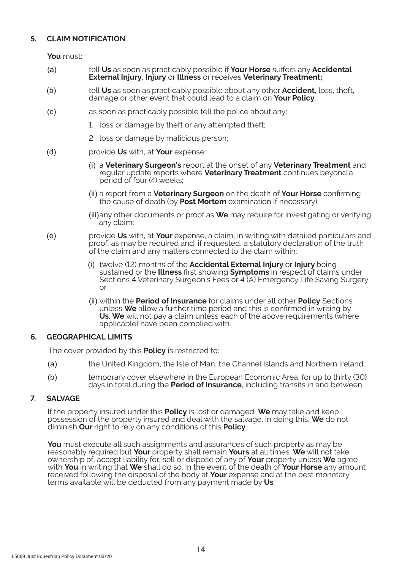# **5. CLAIM NOTIFICATION**

**You** must:

- (a) tell **Us** as soon as practicably possible if **Your Horse** suffers any **Accidental External Injury**, **Injury** or **Illness** or receives **Veterinary Treatment;**
- (b) tell **Us** as soon as practicably possible about any other **Accident**, loss, theft, damage or other event that could lead to a claim on **Your Policy**;
- (c) as soon as practicably possible tell the police about any:
	- 1. loss or damage by theft or any attempted theft;
	- 2. loss or damage by malicious person;
- (d) provide **Us** with, at **Your** expense:
	- (i) a **Veterinary Surgeon's** report at the onset of any **Veterinary Treatment** and regular update reports where **Veterinary Treatment** continues beyond a period of four (4) weeks;
	- (ii) a report from a **Veterinary Surgeon** on the death of **Your Horse** confirming the cause of death (by **Post Mortem** examination if necessary);
	- (iii)any other documents or proof as **We** may require for investigating or verifying any claim;
- (e) provide **Us** with, at **Your** expense, a claim, in writing with detailed particulars and proof, as may be required and, if requested, a statutory declaration of the truth of the claim and any matters connected to the claim within:
	- (i) twelve (12) months of the **Accidental External Injury** or **Injury** being sustained or the **Illness** first showing **Symptoms** in respect of claims under Sections 4 Veterinary Surgeon's Fees or 4 (A) Emergency Life Saving Surgery or
	- (ii) within the **Period of Insurance** for claims under all other **Policy** Sections unless **We** allow a further time period and this is confirmed in writing by **Us**. **We** will not pay a claim unless each of the above requirements (where applicable) have been complied with.

### **6. GEOGRAPHICAL LIMITS**

The cover provided by this **Policy** is restricted to:

- (a) the United Kingdom, the Isle of Man, the Channel Islands and Northern Ireland;
- (b) temporary cover elsewhere in the European Economic Area, for up to thirty (30) days in total during the **Period of Insurance**, including transits in and between.

# **7. SALVAGE**

If the property insured under this **Policy** is lost or damaged, **We** may take and keep possession of the property insured and deal with the salvage. In doing this, **We** do not diminish **Our** right to rely on any conditions of this **Policy**.

**You** must execute all such assignments and assurances of such property as may be reasonably required but **Your** property shall remain **Yours** at all times. **We** will not take ownership of, accept liability for, sell or dispose of any of **Your** property unless **We** agree with **You** in writing that **We** shall do so. In the event of the death of **Your Horse** any amount received following the disposal of the body at **Your** expense and at the best monetary terms available will be deducted from any payment made by **Us**.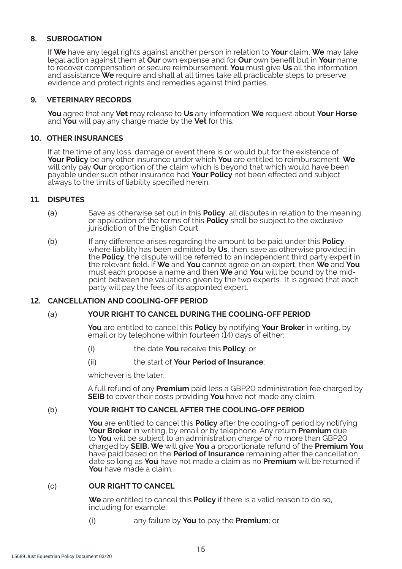### **8. SUBROGATION**

If **We** have any legal rights against another person in relation to **Your** claim, **We** may take legal action against them at **Our** own expense and for **Our** own benefit but in **Your** name to recover compensation or secure reimbursement. **You** must give **Us** all the information and assistance **We** require and shall at all times take all practicable steps to preserve evidence and protect rights and remedies against third parties.

### **9. VETERINARY RECORDS**

**You** agree that any **Vet** may release to **Us** any information **We** request about **Your Horse**  and **You** will pay any charge made by the **Vet** for this.

### **10. OTHER INSURANCES**

If at the time of any loss, damage or event there is or would but for the existence of **Your Policy** be any other insurance under which **You** are entitled to reimbursement, **We**  will only pay **Our** proportion of the claim which is beyond that which would have been payable under such other insurance had **Your Policy** not been effected and subject always to the limits of liability specified herein.

### **11. DISPUTES**

- (a) Save as otherwise set out in this **Policy**, all disputes in relation to the meaning or application of the terms of this **Policy** shall be subject to the exclusive jurisdiction of the English Court.
- (b) If any difference arises regarding the amount to be paid under this **Policy**, where liability has been admitted by **Us**, then, save as otherwise provided in the **Policy**, the dispute will be referred to an independent third party expert in the relevant field. If **We** and **You** cannot agree on an expert, then **We** and **You**  must each propose a name and then **We** and **You** will be bound by the midpoint between the valuations given by the two experts. It is agreed that each party will pay the fees of its appointed expert.

#### **12. CANCELLATION AND COOLING-OFF PERIOD**

### (a) **YOUR RIGHT TO CANCEL DURING THE COOLING-OFF PERIOD**

**You** are entitled to cancel this **Policy** by notifying **Your Broker** in writing, by email or by telephone within fourteen (14) days of either:

- (i) the date **You** receive this **Policy**; or
- (ii) the start of **Your Period of Insurance**;

whichever is the later.

A full refund of any **Premium** paid less a GBP20 administration fee charged by **SEIB** to cover their costs providing **You** have not made any claim.

#### (b) **YOUR RIGHT TO CANCEL AFTER THE COOLING-OFF PERIOD**

**You** are entitled to cancel this **Policy** after the cooling-off period by notifying **Your Broker** in writing, by email or by telephone. Any return **Premium** due to **You** will be subject to an administration charge of no more than GBP20 charged by **SEIB. We** will give **You** a proportionate refund of the **Premium You**  have paid based on the **Period of Insurance** remaining after the cancellation date so long as **You** have not made a claim as no **Premium** will be returned if **You** have made a claim.

### (c) **OUR RIGHT TO CANCEL**

**We** are entitled to cancel this **Policy** if there is a valid reason to do so, including for example:

(i) any failure by **You** to pay the **Premium**; or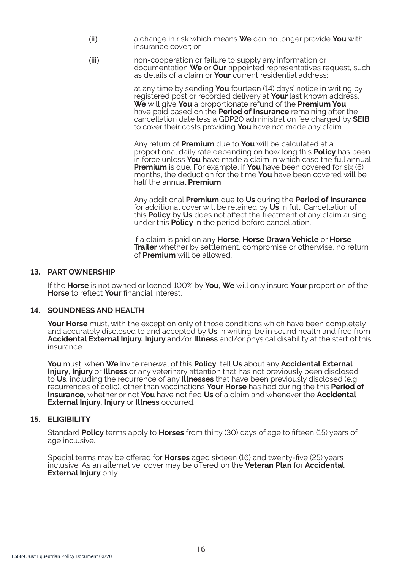- (ii) a change in risk which means **We** can no longer provide **You** with insurance cover; or
- (iii) non-cooperation or failure to supply any information or documentation **We** or **Our** appointed representatives request, such as details of a claim or **Your** current residential address:

 at any time by sending **You** fourteen (14) days' notice in writing by registered post or recorded delivery at **Your** last known address. **We** will give **You** a proportionate refund of the **Premium You**  have paid based on the **Period of Insurance** remaining after the cancellation date less a GBP20 administration fee charged by **SEIB**  to cover their costs providing **You** have not made any claim.

 Any return of **Premium** due to **You** will be calculated at a proportional daily rate depending on how long this **Policy** has been in force unless **You** have made a claim in which case the full annual **Premium** is due. For example, if **You** have been covered for six (6) months, the deduction for the time **You** have been covered will be half the annual **Premium**.

 Any additional **Premium** due to **Us** during the **Period of Insurance** for additional cover will be retained by **Us** in full. Cancellation of this **Policy** by **Us** does not affect the treatment of any claim arising under this **Policy** in the period before cancellation.

 If a claim is paid on any **Horse**, **Horse Drawn Vehicle** or **Horse Trailer** whether by settlement, compromise or otherwise, no return of **Premium** will be allowed.

#### **13. PART OWNERSHIP**

If the **Horse** is not owned or loaned 100% by **You**, **We** will only insure **Your** proportion of the **Horse** to reflect **Your** financial interest.

### **14. SOUNDNESS AND HEALTH**

**Your Horse** must, with the exception only of those conditions which have been completely and accurately disclosed to and accepted by **Us** in writing, be in sound health and free from **Accidental External Injury, Injury** and/or **Illness** and/or physical disability at the start of this insurance.

**You** must, when **We** invite renewal of this **Policy**, tell **Us** about any **Accidental External Injury**, **Injury** or **Illness** or any veterinary attention that has not previously been disclosed to **Us**, including the recurrence of any **Illnesses** that have been previously disclosed (e.g. recurrences of colic), other than vaccinations **Your Horse** has had during the this **Period of Insurance,** whether or not **You** have notified **Us** of a claim and whenever the **Accidental External Injury**, **Injury** or **Illness** occurred.

### **15. ELIGIBILITY**

Standard **Policy** terms apply to **Horses** from thirty (30) days of age to fifteen (15) years of age inclusive.

Special terms may be offered for **Horses** aged sixteen (16) and twenty-five (25) years inclusive. As an alternative, cover may be offered on the **Veteran Plan** for **Accidental External Injury** only.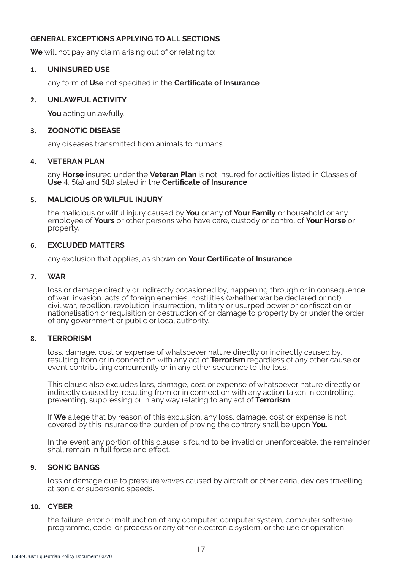### **GENERAL EXCEPTIONS APPLYING TO ALL SECTIONS**

**We** will not pay any claim arising out of or relating to:

### **1. UNINSURED USE**

any form of **Use** not specified in the **Certificate of Insurance**.

### **2. UNLAWFUL ACTIVITY**

**You** acting unlawfully.

### **3. ZOONOTIC DISEASE**

any diseases transmitted from animals to humans.

### **4. VETERAN PLAN**

any **Horse** insured under the **Veteran Plan** is not insured for activities listed in Classes of **Use** 4, 5(a) and 5(b) stated in the **Certificate of Insurance**.

### **5. MALICIOUS OR WILFUL INJURY**

the malicious or wilful injury caused by **You** or any of **Your Family** or household or any employee of **Yours** or other persons who have care, custody or control of **Your Horse** or property**.**

### **6. EXCLUDED MATTERS**

any exclusion that applies, as shown on **Your Certificate of Insurance**.

### **7. WAR**

loss or damage directly or indirectly occasioned by, happening through or in consequence of war, invasion, acts of foreign enemies, hostilities (whether war be declared or not), civil war, rebellion, revolution, insurrection, military or usurped power or confiscation or nationalisation or requisition or destruction of or damage to property by or under the order of any government or public or local authority.

### **8. TERRORISM**

loss, damage, cost or expense of whatsoever nature directly or indirectly caused by, resulting from or in connection with any act of **Terrorism** regardless of any other cause or event contributing concurrently or in any other sequence to the loss.

This clause also excludes loss, damage, cost or expense of whatsoever nature directly or indirectly caused by, resulting from or in connection with any action taken in controlling, preventing, suppressing or in any way relating to any act of **Terrorism**.

If **We** allege that by reason of this exclusion, any loss, damage, cost or expense is not covered by this insurance the burden of proving the contrary shall be upon **You.**

In the event any portion of this clause is found to be invalid or unenforceable, the remainder shall remain in full force and effect.

### **9. SONIC BANGS**

loss or damage due to pressure waves caused by aircraft or other aerial devices travelling at sonic or supersonic speeds.

### **10. CYBER**

the failure, error or malfunction of any computer, computer system, computer software programme, code, or process or any other electronic system, or the use or operation,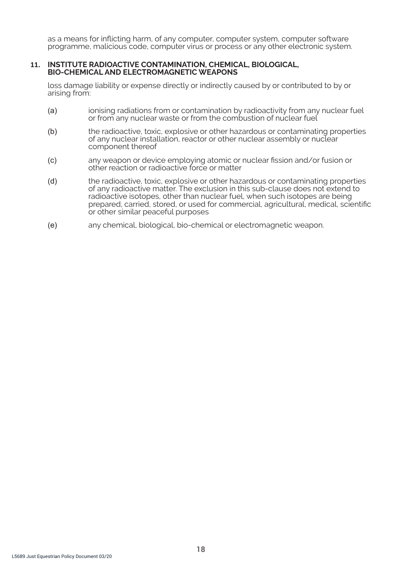as a means for inflicting harm, of any computer, computer system, computer software programme, malicious code, computer virus or process or any other electronic system.

#### **11. INSTITUTE RADIOACTIVE CONTAMINATION, CHEMICAL, BIOLOGICAL, BIO-CHEMICAL AND ELECTROMAGNETIC WEAPONS**

loss damage liability or expense directly or indirectly caused by or contributed to by or arising from:

- (a) ionising radiations from or contamination by radioactivity from any nuclear fuel or from any nuclear waste or from the combustion of nuclear fuel
- (b) the radioactive, toxic, explosive or other hazardous or contaminating properties of any nuclear installation, reactor or other nuclear assembly or nuclear component thereof
- (c) any weapon or device employing atomic or nuclear fission and/or fusion or other reaction or radioactive force or matter
- (d) the radioactive, toxic, explosive or other hazardous or contaminating properties of any radioactive matter. The exclusion in this sub-clause does not extend to radioactive isotopes, other than nuclear fuel, when such isotopes are being prepared, carried, stored, or used for commercial, agricultural, medical, scientific or other similar peaceful purposes
- (e) any chemical, biological, bio-chemical or electromagnetic weapon.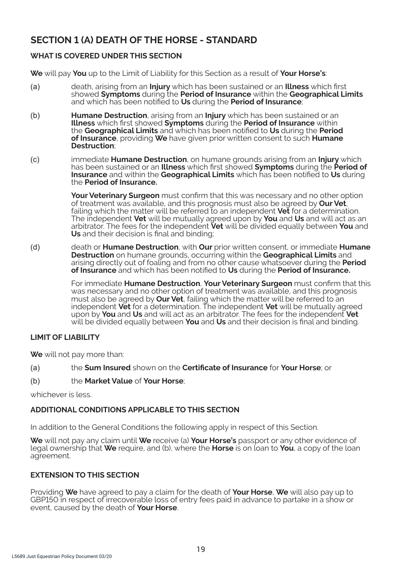# **SECTION 1 (A) DEATH OF THE HORSE - STANDARD**

# **WHAT IS COVERED UNDER THIS SECTION**

**We** will pay **You** up to the Limit of Liability for this Section as a result of **Your Horse's**:

- (a) death, arising from an **Injury** which has been sustained or an **Illness** which first showed **Symptoms** during the **Period of Insurance** within the **Geographical Limits**  and which has been notified to **Us** during the **Period of Insurance**;
- (b) **Humane Destruction**, arising from an **Injury** which has been sustained or an **Illness** which first showed **Symptoms** during the **Period of Insurance** within the **Geographical Limits** and which has been notified to **Us** during the **Period of Insurance**, providing **We** have given prior written consent to such **Humane Destruction**;
- (c) immediate **Humane Destruction**, on humane grounds arising from an **Injury** which has been sustained or an **Illness** which first showed **Symptoms** during the **Period of Insurance** and within the **Geographical Limits** which has been notified to **Us** during the **Period of Insurance.**

**Your Veterinary Surgeon** must confirm that this was necessary and no other option of treatment was available, and this prognosis must also be agreed by **Our Vet**, failing which the matter will be referred to an independent **Vet** for a determination. The independent **Vet** will be mutually agreed upon by **You** and **Us** and will act as an arbitrator. The fees for the independent **Vet** will be divided equally between **You** and **Us** and their decision is final and binding;

(d) death or **Humane Destruction**, with **Our** prior written consent, or immediate **Humane Destruction** on humane grounds, occurring within the **Geographical Limits** and arising directly out of foaling and from no other cause whatsoever during the **Period of Insurance** and which has been notified to **Us** during the **Period of Insurance.**

> For immediate **Humane Destruction**, **Your Veterinary Surgeon** must confirm that this was necessary and no other option of treatment was available, and this prognosis must also be agreed by **Our Vet**, failing which the matter will be referred to an independent **Vet** for a determination. The independent **Vet** will be mutually agreed upon by **You** and **Us** and will act as an arbitrator. The fees for the independent **Vet**  will be divided equally between **You** and **Us** and their decision is final and binding.

# **LIMIT OF LIABILITY**

**We** will not pay more than:

- (a) the **Sum Insured** shown on the **Certificate of Insurance** for **Your Horse**; or
- (b) the **Market Value** of **Your Horse**;

whichever is less.

# **ADDITIONAL CONDITIONS APPLICABLE TO THIS SECTION**

In addition to the General Conditions the following apply in respect of this Section.

**We** will not pay any claim until **We** receive (a) **Your Horse's** passport or any other evidence of legal ownership that **We** require, and (b), where the **Horse** is on loan to **You**, a copy of the loan agreement.

# **EXTENSION TO THIS SECTION**

Providing **We** have agreed to pay a claim for the death of **Your Horse**, **We** will also pay up to GBP150 in respect of irrecoverable loss of entry fees paid in advance to partake in a show or event, caused by the death of **Your Horse**.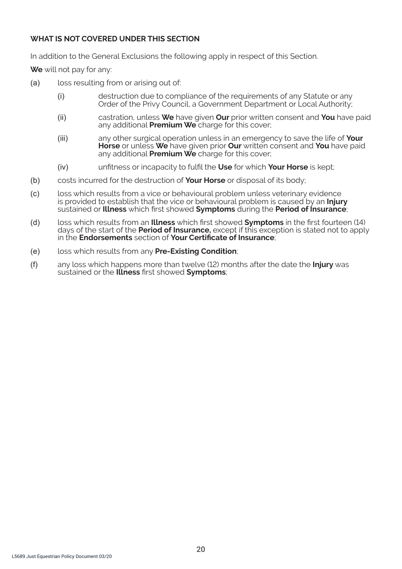# **WHAT IS NOT COVERED UNDER THIS SECTION**

In addition to the General Exclusions the following apply in respect of this Section.

**We** will not pay for any:

- (a) loss resulting from or arising out of:
	- (i) destruction due to compliance of the requirements of any Statute or any Order of the Privy Council, a Government Department or Local Authority;
	- (ii) castration, unless **We** have given **Our** prior written consent and **You** have paid any additional **Premium We** charge for this cover;
	- (iii) any other surgical operation unless in an emergency to save the life of **Your Horse** or unless **We** have given prior **Our** written consent and **You** have paid any additional **Premium We** charge for this cover;
	- (iv) unfitness or incapacity to fulfil the **Use** for which **Your Horse** is kept;
- (b) costs incurred for the destruction of **Your Horse** or disposal of its body;
- (c) loss which results from a vice or behavioural problem unless veterinary evidence is provided to establish that the vice or behavioural problem is caused by an **Injury** sustained or **Illness** which first showed **Symptoms** during the **Period of Insurance**;
- (d) loss which results from an **Illness** which first showed **Symptoms** in the first fourteen (14) days of the start of the **Period of Insurance,** except if this exception is stated not to apply in the **Endorsements** section of **Your Certificate of Insurance**;
- (e) loss which results from any **Pre-Existing Condition**;
- (f) any loss which happens more than twelve (12) months after the date the **Injury** was sustained or the **Illness** first showed **Symptoms**;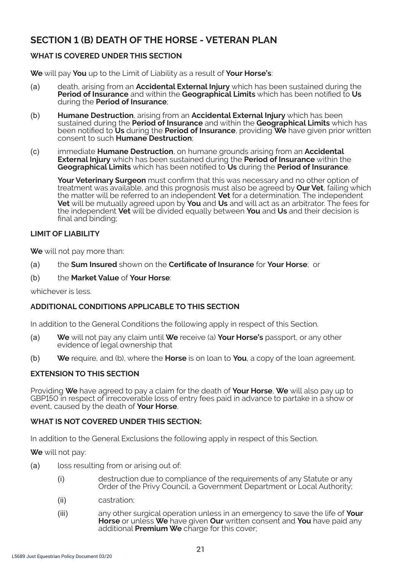# **SECTION 1 (B) DEATH OF THE HORSE - VETERAN PLAN**

# **WHAT IS COVERED UNDER THIS SECTION**

**We** will pay **You** up to the Limit of Liability as a result of **Your Horse's**:

- (a) death, arising from an **Accidental External Injury** which has been sustained during the **Period of Insurance** and within the **Geographical Limits** which has been notified to **Us** during the **Period of Insurance**;
- (b) **Humane Destruction**, arising from an **Accidental External Injury** which has been sustained during the **Period of Insurance** and within the **Geographical Limits** which has been notified to **Us** during the **Period of Insurance**, providing **We** have given prior written consent to such **Humane Destruction**;
- (c) immediate **Humane Destruction**, on humane grounds arising from an **Accidental External Injury** which has been sustained during the **Period of Insurance** within the **Geographical Limits** which has been notified to **Us** during the **Period of Insurance**.

**Your Veterinary Surgeon** must confirm that this was necessary and no other option of treatment was available, and this prognosis must also be agreed by **Our Vet**, failing which the matter will be referred to an independent **Vet** for a determination. The independent **Vet** will be mutually agreed upon by **You** and **Us** and will act as an arbitrator. The fees for the independent **Vet** will be divided equally between **You** and **Us** and their decision is final and binding;

### **LIMIT OF LIABILITY**

**We** will not pay more than:

- (a) the **Sum Insured** shown on the **Certificate of Insurance** for **Your Horse**; or
- (b) the **Market Value** of **Your Horse**:

whichever is less.

# **ADDITIONAL CONDITIONS APPLICABLE TO THIS SECTION**

In addition to the General Conditions the following apply in respect of this Section.

- (a) **We** will not pay any claim until **We** receive (a) **Your Horse's** passport, or any other evidence of legal ownership that
- (b) **We** require, and (b), where the **Horse** is on loan to **You**, a copy of the loan agreement.

# **EXTENSION TO THIS SECTION**

Providing **We** have agreed to pay a claim for the death of **Your Horse**, **We** will also pay up to GBP150 in respect of irrecoverable loss of entry fees paid in advance to partake in a show or event, caused by the death of **Your Horse**.

### **WHAT IS NOT COVERED UNDER THIS SECTION:**

In addition to the General Exclusions the following apply in respect of this Section.

**We** will not pay:

- (a) loss resulting from or arising out of:
	- (i) destruction due to compliance of the requirements of any Statute or any Order of the Privy Council, a Government Department or Local Authority;
	- (ii) castration;
	- (iii) any other surgical operation unless in an emergency to save the life of **Your Horse** or unless **We** have given **Our** written consent and **You** have paid any additional **Premium We** charge for this cover;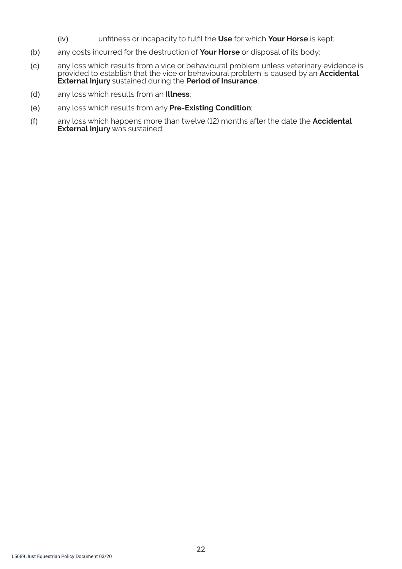- (iv) unfitness or incapacity to fulfil the **Use** for which **Your Horse** is kept;
- (b) any costs incurred for the destruction of **Your Horse** or disposal of its body;
- (c) any loss which results from a vice or behavioural problem unless veterinary evidence is provided to establish that the vice or behavioural problem is caused by an **Accidental External Injury** sustained during the **Period of Insurance**;
- (d) any loss which results from an **Illness**;
- (e) any loss which results from any **Pre-Existing Condition**;
- (f) any loss which happens more than twelve (12) months after the date the **Accidental External Injury** was sustained;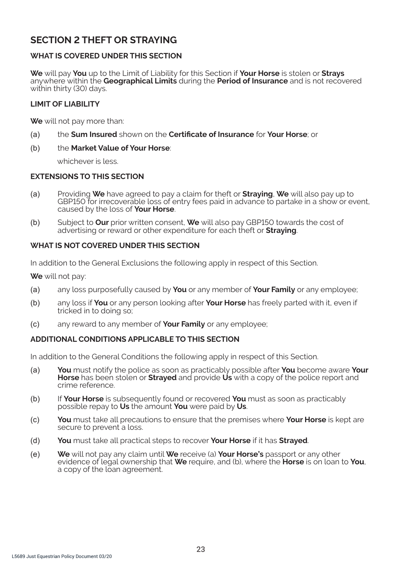# **SECTION 2 THEFT OR STRAYING**

# **WHAT IS COVERED UNDER THIS SECTION**

**We** will pay **You** up to the Limit of Liability for this Section if **Your Horse** is stolen or **Strays**  anywhere within the **Geographical Limits** during the **Period of Insurance** and is not recovered within thirty (30) days.

### **LIMIT OF LIABILITY**

**We** will not pay more than:

- (a) the **Sum Insured** shown on the **Certificate of Insurance** for **Your Horse**; or
- (b) the **Market Value of Your Horse**:

whichever is less.

### **EXTENSIONS TO THIS SECTION**

- (a) Providing **We** have agreed to pay a claim for theft or **Straying**, **We** will also pay up to GBP150 for irrecoverable loss of entry fees paid in advance to partake in a show or event, caused by the loss of **Your Horse**.
- (b) Subject to **Our** prior written consent, **We** will also pay GBP150 towards the cost of advertising or reward or other expenditure for each theft or **Straying**.

### **WHAT IS NOT COVERED UNDER THIS SECTION**

In addition to the General Exclusions the following apply in respect of this Section.

**We** will not pay:

- (a) any loss purposefully caused by **You** or any member of **Your Family** or any employee;
- (b) any loss if **You** or any person looking after **Your Horse** has freely parted with it, even if tricked in to doing so;
- (c) any reward to any member of **Your Family** or any employee;

### **ADDITIONAL CONDITIONS APPLICABLE TO THIS SECTION**

In addition to the General Conditions the following apply in respect of this Section.

- (a) **You** must notify the police as soon as practicably possible after **You** become aware **Your Horse** has been stolen or **Strayed** and provide **Us** with a copy of the police report and crime reference.
- (b) If **Your Horse** is subsequently found or recovered **You** must as soon as practicably possible repay to **Us** the amount **You** were paid by **Us**.
- (c) **You** must take all precautions to ensure that the premises where **Your Horse** is kept are secure to prevent a loss.
- (d) **You** must take all practical steps to recover **Your Horse** if it has **Strayed**.
- (e) **We** will not pay any claim until **We** receive (a) **Your Horse's** passport or any other evidence of legal ownership that **We** require, and (b), where the **Horse** is on loan to **You**, a copy of the loan agreement.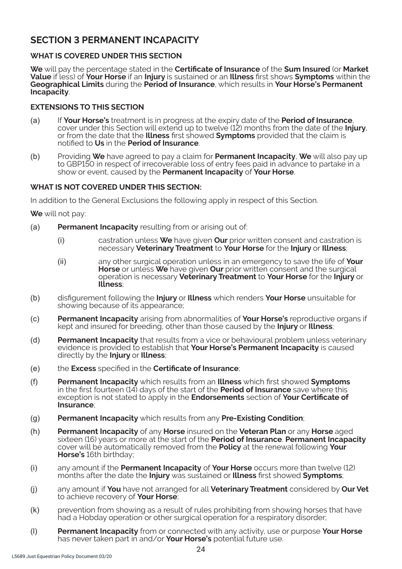# **SECTION 3 PERMANENT INCAPACITY**

# **WHAT IS COVERED UNDER THIS SECTION**

**We** will pay the percentage stated in the **Certificate of Insurance** of the **Sum Insured** (or **Market Value** if less) of **Your Horse** if an **Injury** is sustained or an **Illness** first shows **Symptoms** within the **Geographical Limits** during the **Period of Insurance**, which results in **Your Horse's Permanent Incapacity**.

# **EXTENSIONS TO THIS SECTION**

- (a) If **Your Horse's** treatment is in progress at the expiry date of the **Period of Insurance**, cover under this Section will extend up to twelve (12) months from the date of the **Injury**, or from the date that the **Illness** first showed **Symptoms** provided that the claim is notified to **Us** in the **Period of Insurance**.
- (b) Providing **We** have agreed to pay a claim for **Permanent Incapacity**, **We** will also pay up to GBP150 in respect of irrecoverable loss of entry fees paid in advance to partake in a show or event, caused by the **Permanent Incapacity** of **Your Horse**.

# **WHAT IS NOT COVERED UNDER THIS SECTION:**

In addition to the General Exclusions the following apply in respect of this Section.

**We** will not pay:

- (a) **Permanent Incapacity** resulting from or arising out of:
	- (i) castration unless **We** have given **Our** prior written consent and castration is necessary **Veterinary Treatment** to **Your Horse** for the **Injury** or **Illness**;
	- (ii) any other surgical operation unless in an emergency to save the life of **Your Horse** or unless **We** have given **Our** prior written consent and the surgical operation is necessary **Veterinary Treatment** to **Your Horse** for the **Injury** or **Illness**;
- (b) disfigurement following the **Injury** or **Illness** which renders **Your Horse** unsuitable for showing because of its appearance;
- (c) **Permanent Incapacity** arising from abnormalities of **Your Horse's** reproductive organs if kept and insured for breeding, other than those caused by the **Injury** or **Illness**;
- (d) **Permanent Incapacity** that results from a vice or behavioural problem unless veterinary evidence is provided to establish that **Your Horse's Permanent Incapacity** is caused directly by the **Injury** or **Illness**;
- (e) the **Excess** specified in the **Certificate of Insurance**;
- (f) **Permanent Incapacity** which results from an **Illness** which first showed **Symptoms**  in the first fourteen (14) days of the start of the **Period of Insurance** save where this exception is not stated to apply in the **Endorsements** section of **Your Certificate of Insurance**;
- (g) **Permanent Incapacity** which results from any **Pre-Existing Condition**;
- (h) **Permanent Incapacity** of any **Horse** insured on the **Veteran Plan** or any **Horse** aged sixteen (16) years or more at the start of the **Period of Insurance**. **Permanent Incapacity** cover will be automatically removed from the **Policy** at the renewal following **Your Horse's** 16th birthday;
- (i) any amount if the **Permanent Incapacity** of **Your Horse** occurs more than twelve (12) months after the date the **Injury** was sustained or **Illness** first showed **Symptoms**;
- (j) any amount if **You** have not arranged for all **Veterinary Treatment** considered by **Our Vet**  to achieve recovery of **Your Horse**;
- (k) prevention from showing as a result of rules prohibiting from showing horses that have had a Hobday operation or other surgical operation for a respiratory disorder;
- (l) **Permanent Incapacity** from or connected with any activity, use or purpose **Your Horse**  has never taken part in and/or **Your Horse's** potential future use.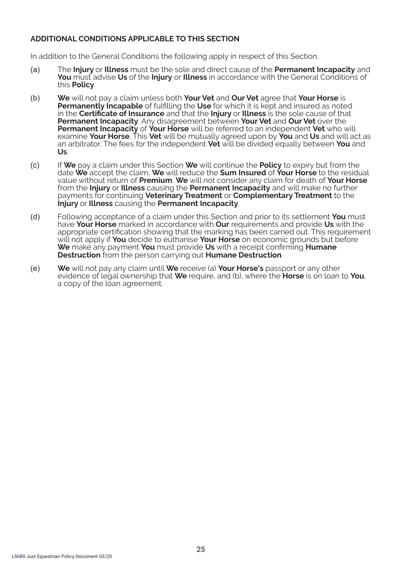### **ADDITIONAL CONDITIONS APPLICABLE TO THIS SECTION**

In addition to the General Conditions the following apply in respect of this Section.

- (a) The **Injury** or **Illness** must be the sole and direct cause of the **Permanent Incapacity** and **You** must advise **Us** of the **Injury** or **Illness** in accordance with the General Conditions of this **Policy**.
- (b) **We** will not pay a claim unless both **Your Vet** and **Our Vet** agree that **Your Horse** is **Permanently Incapable** of fulfilling the **Use** for which it is kept and insured as noted in the **Certificate of Insurance** and that the **Injury** or **Illness** is the sole cause of that **Permanent Incapacity**. Any disagreement between **Your Vet** and **Our Vet** over the **Permanent Incapacity** of **Your Horse** will be referred to an independent **Vet** who will examine **Your Horse**. This **Vet** will be mutually agreed upon by **You** and **Us** and will act as an arbitrator. The fees for the independent **Vet** will be divided equally between **You** and **Us**.
- (c) If **We** pay a claim under this Section **We** will continue the **Policy** to expiry but from the date **We** accept the claim, **We** will reduce the **Sum Insured** of **Your Horse** to the residual value without return of **Premium**. **We** will not consider any claim for death of **Your Horse**  from the **Injury** or **Illness** causing the **Permanent Incapacity** and will make no further payments for continuing **Veterinary Treatment** or **Complementary Treatment** to the **Injury** or **Illness** causing the **Permanent Incapacity**.
- (d) Following acceptance of a claim under this Section and prior to its settlement **You** must have **Your Horse** marked in accordance with **Our** requirements and provide **Us** with the appropriate certification showing that the marking has been carried out. This requirement will not apply if **You** decide to euthanise **Your Horse** on economic grounds but before **We** make any payment **You** must provide **Us** with a receipt confirming **Humane Destruction** from the person carrying out **Humane Destruction**.
- (e) **We** will not pay any claim until **We** receive (a) **Your Horse's** passport or any other evidence of legal ownership that **We** require, and (b), where the **Horse** is on loan to **You**, a copy of the loan agreement.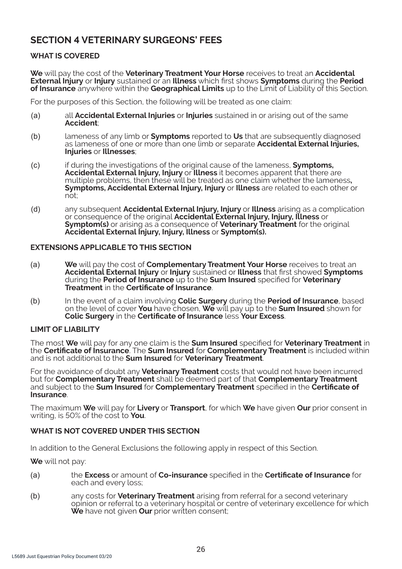# **SECTION 4 VETERINARY SURGEONS' FEES**

# **WHAT IS COVERED**

**We** will pay the cost of the **Veterinary Treatment Your Horse** receives to treat an **Accidental External Injury** or **Injury** sustained or an **Illness** which first shows **Symptoms** during the **Period of Insurance** anywhere within the **Geographical Limits** up to the Limit of Liability of this Section.

For the purposes of this Section, the following will be treated as one claim:

- (a) all **Accidental External Injuries** or **Injuries** sustained in or arising out of the same **Accident**;
- (b) lameness of any limb or **Symptoms** reported to **Us** that are subsequently diagnosed as lameness of one or more than one limb or separate **Accidental External Injuries, Injuries** or **Illnesses**;
- (c) if during the investigations of the original cause of the lameness, **Symptoms, Accidental External Injury, Injury** or **Illness** it becomes apparent that there are multiple problems, then these will be treated as one claim whether the lameness**, Symptoms, Accidental External Injury, Injury** or **Illness** are related to each other or  $n \tilde{o} t$ ;
- (d) any subsequent **Accidental External Injury, Injury** or **Illness** arising as a complication or consequence of the original **Accidental External Injury, Injury, Illness** or **Symptom(s)** or arising as a consequence of **Veterinary Treatment** for the original **Accidental External Injury, Injury, Illness** or **Symptom(s).**

### **EXTENSIONS APPLICABLE TO THIS SECTION**

- (a) **We** will pay the cost of **Complementary Treatment Your Horse** receives to treat an **Accidental External Injury** or **Injury** sustained or **Illness** that first showed **Symptoms** during the **Period of Insurance** up to the **Sum Insured** specified for **Veterinary Treatment** in the **Certificate of Insurance**.
- (b) In the event of a claim involving **Colic Surgery** during the **Period of Insurance**, based on the level of cover **You** have chosen, **We** will pay up to the **Sum Insured** shown for **Colic Surgery** in the **Certificate of Insurance** less **Your Excess**.

# **LIMIT OF LIABILITY**

The most **We** will pay for any one claim is the **Sum Insured** specified for **Veterinary Treatment** in the **Certificate of Insurance**. The **Sum Insured** for **Complementary Treatment** is included within and is not additional to the **Sum Insured** for **Veterinary Treatment**.

For the avoidance of doubt any **Veterinary Treatment** costs that would not have been incurred but for **Complementary Treatment** shall be deemed part of that **Complementary Treatment**  and subject to the **Sum Insured** for **Complementary Treatment** specified in the **Certificate of Insurance**.

The maximum **We** will pay for **Livery** or **Transport**, for which **We** have given **Our** prior consent in writing, is 50% of the cost to **You**.

# **WHAT IS NOT COVERED UNDER THIS SECTION**

In addition to the General Exclusions the following apply in respect of this Section.

**We** will not pay:

- (a) the **Excess** or amount of **Co-insurance** specified in the **Certificate of Insurance** for each and every loss;
- (b) any costs for **Veterinary Treatment** arising from referral for a second veterinary opinion or referral to a veterinary hospital or centre of veterinary excellence for which **We** have not given **Our** prior written consent;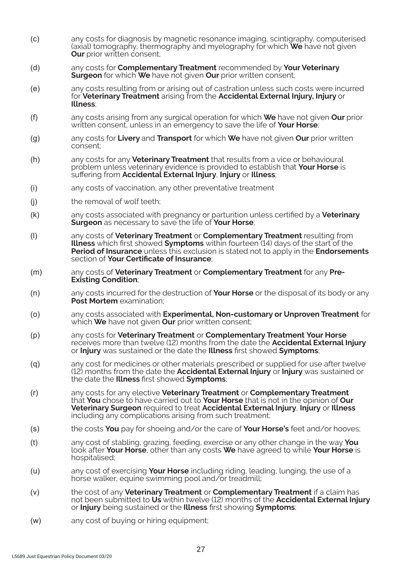- (c) any costs for diagnosis by magnetic resonance imaging, scintigraphy, computerised (axial) tomography, thermography and myelography for which **We** have not given **Our** prior written consent:
- (d) any costs for **Complementary Treatment** recommended by **Your Veterinary Surgeon** for which **We** have not given **Our** prior written consent;
- (e) any costs resulting from or arising out of castration unless such costs were incurred for **Veterinary Treatment** arising from the **Accidental External Injury, Injury** or **Illness**;
- (f) any costs arising from any surgical operation for which **We** have not given **Our** prior written consent, unless in an emergency to save the life of **Your Horse**;
- (g) any costs for **Livery** and **Transport** for which **We** have not given **Our** prior written consent;
- (h) any costs for any **Veterinary Treatment** that results from a vice or behavioural problem unless veterinary evidence is provided to establish that **Your Horse** is suffering from **Accidental External Injury**, **Injury** or **Illness**;
- (i) any costs of vaccination, any other preventative treatment
- (i) the removal of wolf teeth;
- (k) any costs associated with pregnancy or parturition unless certified by a **Veterinary Surgeon** as necessary to save the life of **Your Horse**;
- (l) any costs of **Veterinary Treatment** or **Complementary Treatment** resulting from **Illness** which first showed **Symptoms** within fourteen (14) days of the start of the **Period of Insurance** unless this exclusion is stated not to apply in the **Endorsements** section of **Your Certificate of Insurance**;
- (m) any costs of **Veterinary Treatment** or **Complementary Treatment** for any **Pre-Existing Condition**;
- (n) any costs incurred for the destruction of **Your Horse** or the disposal of its body or any **Post Mortem** examination;
- (o) any costs associated with **Experimental, Non-customary or Unproven Treatment** for which **We** have not given **Our** prior written consent;
- (p) any costs for **Veterinary Treatment** or **Complementary Treatment Your Horse** receives more than twelve (12) months from the date the **Accidental External Injury** or **Injury** was sustained or the date the **Illness** first showed **Symptoms**;
- (q) any cost for medicines or other materials prescribed or supplied for use after twelve (12) months from the date the **Accidental External Injury** or **Injury** was sustained or the date the **Illness** first showed **Symptoms**;
- (r) any costs for any elective **Veterinary Treatment** or **Complementary Treatment** that **You** chose to have carried out to **Your Horse** that is not in the opinion of **Our Veterinary Surgeon** required to treat **Accidental External Injury**, **Injury** or **Illness** including any complications arising from such treatment;
- (s) the costs **You** pay for shoeing and/or the care of **Your Horse's** feet and/or hooves;
- (t) any cost of stabling, grazing, feeding, exercise or any other change in the way **You** look after **Your Horse**, other than any costs **We** have agreed to while **Your Horse** is hospitalised;
- (u) any cost of exercising **Your Horse** including riding, leading, lunging, the use of a horse walker, equine swimming pool and/or treadmill;
- (v) the cost of any **Veterinary Treatment** or **Complementary Treatment** if a claim has not been submitted to **Us** within twelve (12) months of the **Accidental External Injury** or **Injury** being sustained or the **Illness** first showing **Symptoms**;
- (w) any cost of buying or hiring equipment;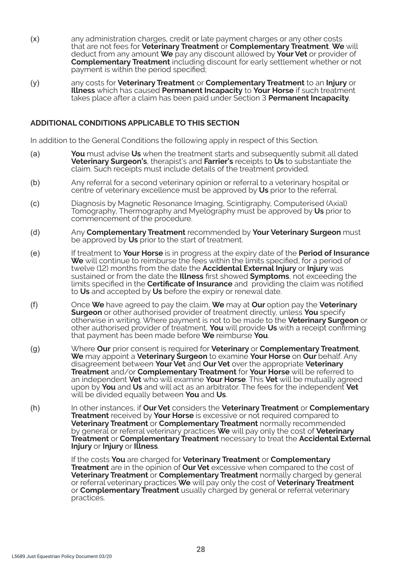- (x) any administration charges, credit or late payment charges or any other costs that are not fees for **Veterinary Treatment** or **Complementary Treatment**. **We** will deduct from any amount **We** pay any discount allowed by **Your Vet** or provider of **Complementary Treatment** including discount for early settlement whether or not payment is within the period specified;
- (y) any costs for **Veterinary Treatment** or **Complementary Treatment** to an **Injury** or **Illness** which has caused **Permanent Incapacity** to **Your Horse** if such treatment takes place after a claim has been paid under Section 3 **Permanent Incapacity**.

### **ADDITIONAL CONDITIONS APPLICABLE TO THIS SECTION**

In addition to the General Conditions the following apply in respect of this Section.

- (a) **You** must advise **Us** when the treatment starts and subsequently submit all dated **Veterinary Surgeon's**, therapist's and **Farrier's** receipts to **Us** to substantiate the claim. Such receipts must include details of the treatment provided.
- (b) Any referral for a second veterinary opinion or referral to a veterinary hospital or centre of veterinary excellence must be approved by **Us** prior to the referral.
- (c) Diagnosis by Magnetic Resonance Imaging, Scintigraphy, Computerised (Axial) Tomography, Thermography and Myelography must be approved by **Us** prior to commencement of the procedure.
- (d) Any **Complementary Treatment** recommended by **Your Veterinary Surgeon** must be approved by **Us** prior to the start of treatment.
- (e) If treatment to **Your Horse** is in progress at the expiry date of the **Period of Insurance**  We will continue to reimburse the fees within the limits specified, for a period of twelve (12) months from the date the **Accidental External Injury** or **Injury** was sustained or from the date the **Illness** first showed **Symptoms**, not exceeding the limits specified in the **Certificate of Insurance** and providing the claim was notified to **Us** and accepted by **Us** before the expiry or renewal date.
- (f) Once **We** have agreed to pay the claim, **We** may at **Our** option pay the **Veterinary Surgeon** or other authorised provider of treatment directly, unless **You** specify otherwise in writing. Where payment is not to be made to the **Veterinary Surgeon** or other authorised provider of treatment, **You** will provide **Us** with a receipt confirming that payment has been made before **We** reimburse **You**.
- (g) Where **Our** prior consent is required for **Veterinary** or **Complementary Treatment**, **We** may appoint a **Veterinary Surgeon** to examine **Your Horse** on **Our** behalf. Any disagreement between **Your Vet** and **Our Vet** over the appropriate **Veterinary Treatment** and/or **Complementary Treatment** for **Your Horse** will be referred to an independent **Vet** who will examine **Your Horse**. This **Vet** will be mutually agreed upon by **You** and **Us** and will act as an arbitrator. The fees for the independent **Vet** will be divided equally between **You** and **Us**.
- (h) In other instances, if **Our Vet** considers the **Veterinary Treatment** or **Complementary Treatment** received by **Your Horse** is excessive or not required compared to **Veterinary Treatment** or **Complementary Treatment** normally recommended by general or referral veterinary practices **We** will pay only the cost of **Veterinary Treatment** or **Complementary Treatment** necessary to treat the **Accidental External Injury** or **Injury** or **Illness**.

If the costs **You** are charged for **Veterinary Treatment** or **Complementary Treatment** are in the opinion of **Our Vet** excessive when compared to the cost of **Veterinary Treatment** or **Complementary Treatment** normally charged by general or referral veterinary practices **We** will pay only the cost of **Veterinary Treatment**  or **Complementary Treatment** usually charged by general or referral veterinary practices.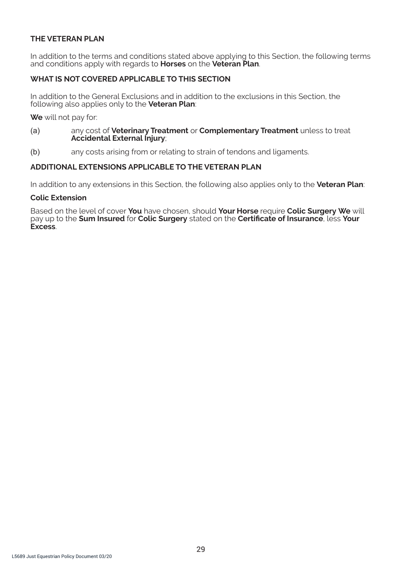# **THE VETERAN PLAN**

In addition to the terms and conditions stated above applying to this Section, the following terms and conditions apply with regards to **Horses** on the **Veteran Plan**.

# **WHAT IS NOT COVERED APPLICABLE TO THIS SECTION**

In addition to the General Exclusions and in addition to the exclusions in this Section, the following also applies only to the **Veteran Plan**:

**We** will not pay for:

- (a) any cost of **Veterinary Treatment** or **Complementary Treatment** unless to treat **Accidental External Injury**;
- (b) any costs arising from or relating to strain of tendons and ligaments.

### **ADDITIONAL EXTENSIONS APPLICABLE TO THE VETERAN PLAN**

In addition to any extensions in this Section, the following also applies only to the **Veteran Plan**:

#### **Colic Extension**

Based on the level of cover **You** have chosen, should **Your Horse** require **Colic Surgery We** will pay up to the **Sum Insured** for **Colic Surgery** stated on the **Certificate of Insurance**, less **Your Excess**.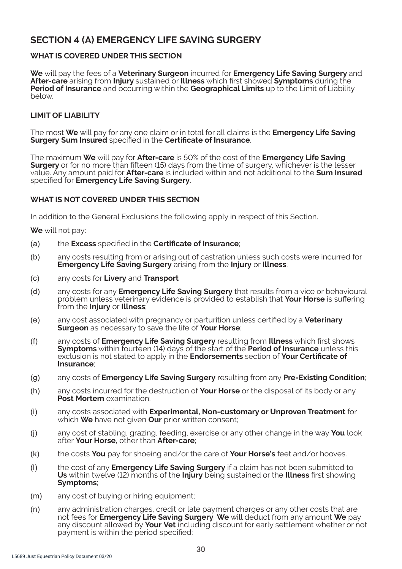# **SECTION 4 (A) EMERGENCY LIFE SAVING SURGERY**

# **WHAT IS COVERED UNDER THIS SECTION**

**We** will pay the fees of a **Veterinary Surgeon** incurred for **Emergency Life Saving Surgery** and **After-care** arising from **Injury** sustained or **Illness** which first showed **Symptoms** during the **Period of Insurance** and occurring within the **Geographical Limits** up to the Limit of Liability below.

# **LIMIT OF LIABILITY**

The most **We** will pay for any one claim or in total for all claims is the **Emergency Life Saving Surgery Sum Insured** specified in the **Certificate of Insurance**.

The maximum **We** will pay for **After-care** is 50% of the cost of the **Emergency Life Saving Surgery** or for no more than fifteen (15) days from the time of surgery, whichever is the lesser value. Any amount paid for **After-care** is included within and not additional to the **Sum Insured**  specified for **Emergency Life Saving Surgery**.

# **WHAT IS NOT COVERED UNDER THIS SECTION**

In addition to the General Exclusions the following apply in respect of this Section.

**We** will not pay:

- (a) the **Excess** specified in the **Certificate of Insurance**;
- (b) any costs resulting from or arising out of castration unless such costs were incurred for **Emergency Life Saving Surgery** arising from the **Injury** or **Illness**;
- (c) any costs for **Livery** and **Transport**
- (d) any costs for any **Emergency Life Saving Surgery** that results from a vice or behavioural problem unless veterinary evidence is provided to establish that **Your Horse** is suffering from the **Injury** or **Illness**;
- (e) any cost associated with pregnancy or parturition unless certified by a **Veterinary Surgeon** as necessary to save the life of **Your Horse**;
- (f) any costs of **Emergency Life Saving Surgery** resulting from **Illness** which first shows **Symptoms** within fourteen (14) days of the start of the **Period of Insurance** unless this exclusion is not stated to apply in the **Endorsements** section of **Your Certificate of Insurance**;
- (g) any costs of **Emergency Life Saving Surgery** resulting from any **Pre-Existing Condition**;
- (h) any costs incurred for the destruction of **Your Horse** or the disposal of its body or any **Post Mortem** examination;
- (i) any costs associated with **Experimental, Non-customary or Unproven Treatment** for which **We** have not given **Our** prior written consent;
- (j) any cost of stabling, grazing, feeding, exercise or any other change in the way **You** look after **Your Horse**, other than **After-care**;
- (k) the costs **You** pay for shoeing and/or the care of **Your Horse's** feet and/or hooves.
- (l) the cost of any **Emergency Life Saving Surgery** if a claim has not been submitted to **Us** within twelve (12) months of the **Injury** being sustained or the **Illness** first showing **Symptoms**;
- (m) any cost of buying or hiring equipment;
- (n) any administration charges, credit or late payment charges or any other costs that are not fees for **Emergency Life Saving Surgery**. **We** will deduct from any amount **We** pay any discount allowed by **Your Vet** including discount for early settlement whether or not payment is within the period specified;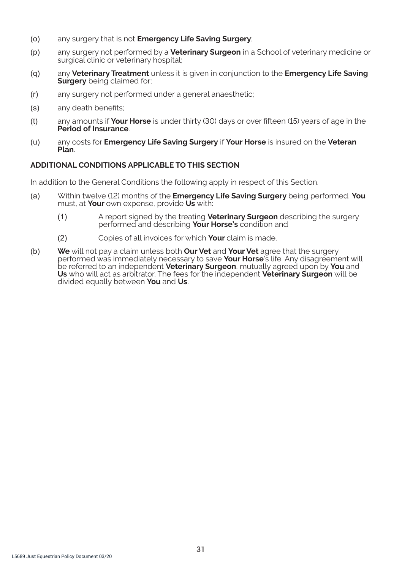- (o) any surgery that is not **Emergency Life Saving Surgery**;
- (p) any surgery not performed by a **Veterinary Surgeon** in a School of veterinary medicine or surgical clinic or veterinary hospital;
- (q) any **Veterinary Treatment** unless it is given in conjunction to the **Emergency Life Saving Surgery** being claimed for:
- (r) any surgery not performed under a general anaesthetic;
- (s) any death benefits;
- (t) any amounts if **Your Horse** is under thirty (30) days or over fifteen (15) years of age in the **Period of Insurance**.
- (u) any costs for **Emergency Life Saving Surgery** if **Your Horse** is insured on the **Veteran Plan**.

# **ADDITIONAL CONDITIONS APPLICABLE TO THIS SECTION**

In addition to the General Conditions the following apply in respect of this Section.

- (a) Within twelve (12) months of the **Emergency Life Saving Surgery** being performed, **You**  must, at **Your** own expense, provide **Us** with:
	- (1) A report signed by the treating **Veterinary Surgeon** describing the surgery performed and describing **Your Horse's** condition and
	- (2) Copies of all invoices for which **Your** claim is made.
- (b) **We** will not pay a claim unless both **Our Vet** and **Your Vet** agree that the surgery performed was immediately necessary to save **Your Horse**'s life. Any disagreement will be referred to an independent **Veterinary Surgeon**, mutually agreed upon by **You** and **Us** who will act as arbitrator. The fees for the independent **Veterinary Surgeon** will be divided equally between **You** and **Us**.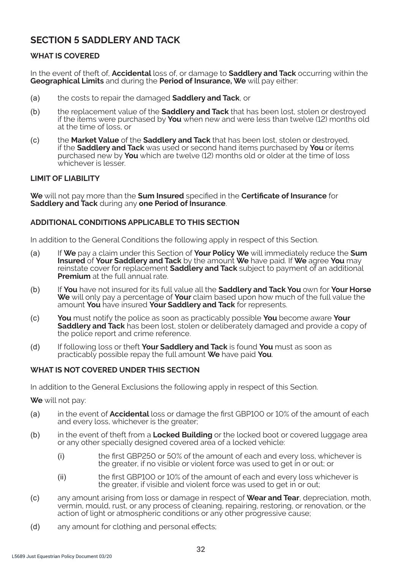# **SECTION 5 SADDLERY AND TACK**

# **WHAT IS COVERED**

In the event of theft of, **Accidental** loss of, or damage to **Saddlery and Tack** occurring within the **Geographical Limits** and during the **Period of Insurance, We** will pay either:

- (a) the costs to repair the damaged **Saddlery and Tack**, or
- (b) the replacement value of the **Saddlery and Tack** that has been lost, stolen or destroyed if the items were purchased by **You** when new and were less than twelve (12) months old at the time of loss, or
- (c) the **Market Value** of the **Saddlery and Tack** that has been lost, stolen or destroyed, if the **Saddlery and Tack** was used or second hand items purchased by **You** or items purchased new by **You** which are twelve (12) months old or older at the time of loss whichever is lesser

### **LIMIT OF LIABILITY**

**We** will not pay more than the **Sum Insured** specified in the **Certificate of Insurance** for **Saddlery and Tack** during any **one Period of Insurance**.

### **ADDITIONAL CONDITIONS APPLICABLE TO THIS SECTION**

In addition to the General Conditions the following apply in respect of this Section.

- (a) If **We** pay a claim under this Section of **Your Policy We** will immediately reduce the **Sum Insured** of **Your Saddlery and Tack** by the amount **We** have paid. If **We** agree **You** may reinstate cover for replacement **Saddlery and Tack** subject to payment of an additional **Premium** at the full annual rate.
- (b) If **You** have not insured for its full value all the **Saddlery and Tack You** own for **Your Horse We** will only pay a percentage of **Your** claim based upon how much of the full value the amount **You** have insured **Your Saddlery and Tack** for represents.
- (c) **You** must notify the police as soon as practicably possible **You** become aware **Your Saddlery and Tack** has been lost, stolen or deliberately damaged and provide a copy of the police report and crime reference.
- (d) If following loss or theft **Your Saddlery and Tack** is found **You** must as soon as practicably possible repay the full amount **We** have paid **You**.

### **WHAT IS NOT COVERED UNDER THIS SECTION**

In addition to the General Exclusions the following apply in respect of this Section.

**We** will not pay:

- (a) in the event of **Accidental** loss or damage the first GBP100 or 10% of the amount of each and every loss, whichever is the greater;
- (b) in the event of theft from a **Locked Building** or the locked boot or covered luggage area or any other specially designed covered area of a locked vehicle:
	- (i) the first GBP250 or 50% of the amount of each and every loss, whichever is the greater, if no visible or violent force was used to get in or out; or
	- (ii) the first GBP100 or 10% of the amount of each and every loss whichever is the greater, if visible and violent force was used to get in or out;
- (c) any amount arising from loss or damage in respect of **Wear and Tear**, depreciation, moth, vermin, mould, rust, or any process of cleaning, repairing, restoring, or renovation, or the action of light or atmospheric conditions or any other progressive cause;
- (d) any amount for clothing and personal effects;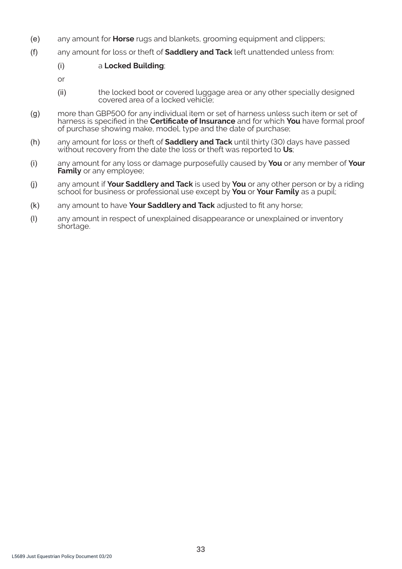- (e) any amount for **Horse** rugs and blankets, grooming equipment and clippers;
- (f) any amount for loss or theft of **Saddlery and Tack** left unattended unless from:

### (i) a **Locked Building**;

- or
- (ii) the locked boot or covered luggage area or any other specially designed covered area of a locked vehicle;
- (g) more than GBP500 for any individual item or set of harness unless such item or set of harness is specified in the **Certificate of Insurance** and for which **You** have formal proof of purchase showing make, model, type and the date of purchase;
- (h) any amount for loss or theft of **Saddlery and Tack** until thirty (30) days have passed without recovery from the date the loss or theft was reported to **Us**;
- (i) any amount for any loss or damage purposefully caused by **You** or any member of **Your Family** or any employee;
- (j) any amount if **Your Saddlery and Tack** is used by **You** or any other person or by a riding school for business or professional use except by **You** or **Your Family** as a pupil;
- (k) any amount to have **Your Saddlery and Tack** adjusted to fit any horse;
- (l) any amount in respect of unexplained disappearance or unexplained or inventory shortage.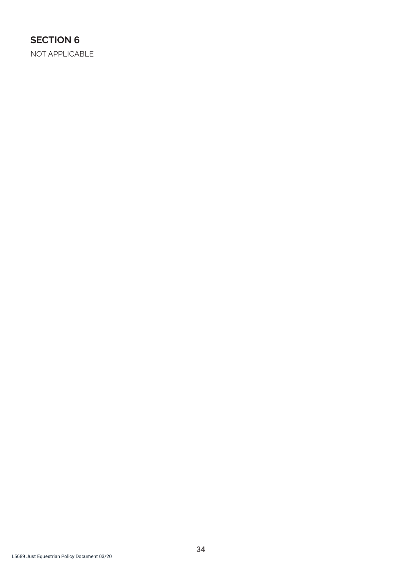# **SECTION 6**

NOT APPLICABLE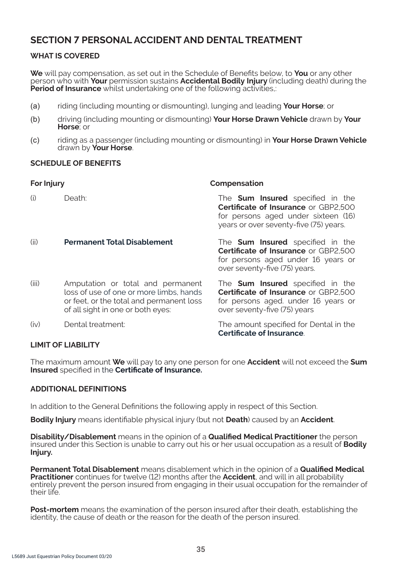# **SECTION 7 PERSONAL ACCIDENT AND DENTAL TREATMENT**

# **WHAT IS COVERED**

**We** will pay compensation, as set out in the Schedule of Benefits below, to **You** or any other person who with **Your** permission sustains **Accidental Bodily Injury** (including death) during the **Period of Insurance** whilst undertaking one of the following activities,:

- (a) riding (including mounting or dismounting), lunging and leading **Your Horse**; or
- (b) driving (including mounting or dismounting) **Your Horse Drawn Vehicle** drawn by **Your Horse**; or
- (c) riding as a passenger (including mounting or dismounting) in **Your Horse Drawn Vehicle**  drawn by **Your Horse**.

### **SCHEDULE OF BENEFITS**

| For Injury |                                                                                                                                                               | Compensation                                                                                                                                                            |  |
|------------|---------------------------------------------------------------------------------------------------------------------------------------------------------------|-------------------------------------------------------------------------------------------------------------------------------------------------------------------------|--|
| (i)        | Death:                                                                                                                                                        | The <b>Sum Insured</b> specified in the<br><b>Certificate of Insurance or GBP2.500</b><br>for persons aged under sixteen (16)<br>years or over seventy-five (75) years. |  |
| (ii)       | <b>Permanent Total Disablement</b>                                                                                                                            | The <b>Sum Insured</b> specified in the<br><b>Certificate of Insurance or GBP2.500</b><br>for persons aged under 16 years or<br>over seventy-five (75) years.           |  |
| (iii)      | Amputation or total and permanent<br>loss of use of one or more limbs, hands<br>or feet, or the total and permanent loss<br>of all sight in one or both eyes: | The <b>Sum Insured</b> specified in the<br><b>Certificate of Insurance or GBP2.500</b><br>for persons aged. under 16 years or<br>over seventy-five (75) years           |  |
| (iv)       | Dental treatment:                                                                                                                                             | The amount specified for Dental in the<br><b>Certificate of Insurance.</b>                                                                                              |  |

# **LIMIT OF LIABILITY**

The maximum amount **We** will pay to any one person for one **Accident** will not exceed the **Sum Insured** specified in the **Certificate of Insurance.**

# **ADDITIONAL DEFINITIONS**

In addition to the General Definitions the following apply in respect of this Section.

**Bodily Injury** means identifiable physical injury (but not **Death**) caused by an **Accident**.

**Disability/Disablement** means in the opinion of a **Qualified Medical Practitioner** the person insured under this Section is unable to carry out his or her usual occupation as a result of **Bodily Injury.**

**Permanent Total Disablement** means disablement which in the opinion of a **Qualified Medical Practitioner** continues for twelve (12) months after the **Accident**, and will in all probability entirely prevent the person insured from engaging in their usual occupation for the remainder of their life.

**Post-mortem** means the examination of the person insured after their death, establishing the identity, the cause of death or the reason for the death of the person insured.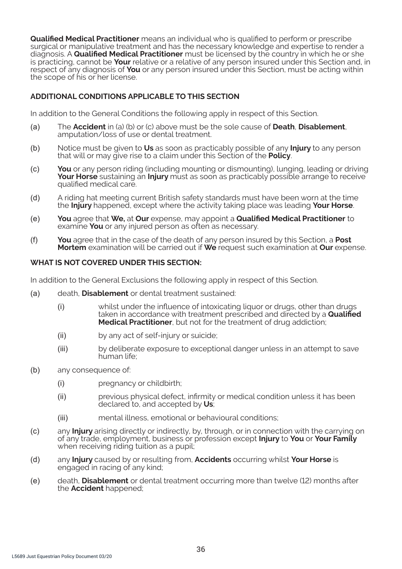**Qualified Medical Practitioner** means an individual who is qualified to perform or prescribe surgical or manipulative treatment and has the necessary knowledge and expertise to render a diagnosis. A **Qualified Medical Practitioner** must be licensed by the country in which he or she is practicing, cannot be **Your** relative or a relative of any person insured under this Section and, in respect of any diagnosis of **You** or any person insured under this Section, must be acting within the scope of his or her license.

# **ADDITIONAL CONDITIONS APPLICABLE TO THIS SECTION**

In addition to the General Conditions the following apply in respect of this Section.

- (a) The **Accident** in (a) (b) or (c) above must be the sole cause of **Death**, **Disablement**, amputation/loss of use or dental treatment.
- (b) Notice must be given to **Us** as soon as practicably possible of any **Injury** to any person that will or may give rise to a claim under this Section of the **Policy**.
- (c) **You** or any person riding (including mounting or dismounting), lunging, leading or driving **Your Horse** sustaining an **Injury** must as soon as practicably possible arrange to receive qualified medical care.
- (d) A riding hat meeting current British safety standards must have been worn at the time the **Injury** happened, except where the activity taking place was leading **Your Horse**.
- (e) **You** agree that **We,** at **Our** expense, may appoint a **Qualified Medical Practitioner** to examine **You** or any injured person as often as necessary.
- (f) **You** agree that in the case of the death of any person insured by this Section, a **Post Mortem** examination will be carried out if **We** request such examination at **Our** expense.

### **WHAT IS NOT COVERED UNDER THIS SECTION:**

In addition to the General Exclusions the following apply in respect of this Section.

- (a) death, **Disablement** or dental treatment sustained:
	- (i) whilst under the influence of intoxicating liquor or drugs, other than drugs taken in accordance with treatment prescribed and directed by a **Qualified Medical Practitioner**, but not for the treatment of drug addiction;
	- (ii) by any act of self-injury or suicide;
	- (iii) by deliberate exposure to exceptional danger unless in an attempt to save human life:
- (b) any consequence of:
	- (i) pregnancy or childbirth;
	- (ii) previous physical defect, infirmity or medical condition unless it has been declared to, and accepted by **Us**;
	- (iii) mental illness, emotional or behavioural conditions;
- (c) any **Injury** arising directly or indirectly, by, through, or in connection with the carrying on of any trade, employment, business or profession except **Injury** to **You** or **Your Family** when receiving riding tuition as a pupil;
- (d) any **Injury** caused by or resulting from, **Accidents** occurring whilst **Your Horse** is engaged in racing of any kind;
- (e) death, **Disablement** or dental treatment occurring more than twelve (12) months after the **Accident** happened;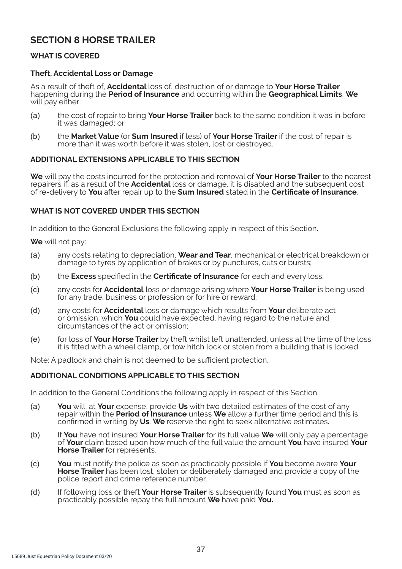# **SECTION 8 HORSE TRAILER**

# **WHAT IS COVERED**

# **Theft, Accidental Loss or Damage**

As a result of theft of, **Accidental** loss of, destruction of or damage to **Your Horse Trailer**  happening during the **Period of Insurance** and occurring within the **Geographical Limits**, **We**  will pay either:

- (a) the cost of repair to bring **Your Horse Trailer** back to the same condition it was in before it was damaged; or
- (b) the **Market Value** (or **Sum Insured** if less) of **Your Horse Trailer** if the cost of repair is more than it was worth before it was stolen, lost or destroyed.

### **ADDITIONAL EXTENSIONS APPLICABLE TO THIS SECTION**

**We** will pay the costs incurred for the protection and removal of **Your Horse Trailer** to the nearest repairers if, as a result of the **Accidental** loss or damage, it is disabled and the subsequent cost of re-delivery to **You** after repair up to the **Sum Insured** stated in the **Certificate of Insurance**.

### **WHAT IS NOT COVERED UNDER THIS SECTION**

In addition to the General Exclusions the following apply in respect of this Section.

**We** will not pay:

- (a) any costs relating to depreciation, **Wear and Tear**, mechanical or electrical breakdown or damage to tyres by application of brakes or by punctures, cuts or bursts;
- (b) the **Excess** specified in the **Certificate of Insurance** for each and every loss;
- (c) any costs for **Accidental** loss or damage arising where **Your Horse Trailer** is being used for any trade, business or profession or for hire or reward;
- (d) any costs for **Accidental** loss or damage which results from **Your** deliberate act or omission, which **You** could have expected, having regard to the nature and circumstances of the act or omission;
- (e) for loss of **Your Horse Trailer** by theft whilst left unattended, unless at the time of the loss it is fitted with a wheel clamp, or tow hitch lock or stolen from a building that is locked.

Note: A padlock and chain is not deemed to be sufficient protection.

### **ADDITIONAL CONDITIONS APPLICABLE TO THIS SECTION**

In addition to the General Conditions the following apply in respect of this Section.

- (a) **You** will, at **Your** expense, provide **Us** with two detailed estimates of the cost of any repair within the **Period of Insurance** unless **We** allow a further time period and this is confirmed in writing by **Us**. **We** reserve the right to seek alternative estimates.
- (b) If **You** have not insured **Your Horse Trailer** for its full value **We** will only pay a percentage of **Your** claim based upon how much of the full value the amount **You** have insured **Your Horse Trailer** for represents.
- (c) **You** must notify the police as soon as practicably possible if **You** become aware **Your Horse Trailer** has been lost, stolen or deliberately damaged and provide a copy of the police report and crime reference number.
- (d) If following loss or theft **Your Horse Trailer** is subsequently found **You** must as soon as practicably possible repay the full amount **We** have paid **You.**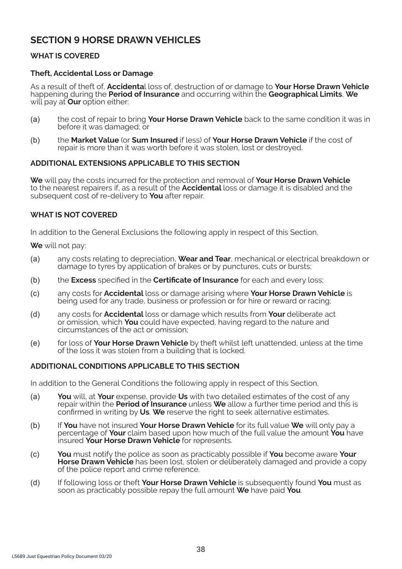# **SECTION 9 HORSE DRAWN VEHICLES**

# **WHAT IS COVERED**

### **Theft, Accidental Loss or Damage**

As a result of theft of, **Accidenta**l loss of, destruction of or damage to **Your Horse Drawn Vehicle**  happening during the **Period of Insurance** and occurring within the **Geographical Limits**, **We**  will pay at **Our** option either:

- (a) the cost of repair to bring **Your Horse Drawn Vehicle** back to the same condition it was in before it was damaged; or
- (b) the **Market Value** (or **Sum Insured** if less) of **Your Horse Drawn Vehicle** if the cost of repair is more than it was worth before it was stolen, lost or destroyed.

### **ADDITIONAL EXTENSIONS APPLICABLE TO THIS SECTION**

**We** will pay the costs incurred for the protection and removal of **Your Horse Drawn Vehicle**  to the nearest repairers if, as a result of the **Accidental** loss or damage it is disabled and the subsequent cost of re-delivery to **You** after repair.

### **WHAT IS NOT COVERED**

In addition to the General Exclusions the following apply in respect of this Section.

**We** will not pay:

- (a) any costs relating to depreciation, **Wear and Tear**, mechanical or electrical breakdown or damage to tyres by application of brakes or by punctures, cuts or bursts;
- (b) the **Excess** specified in the **Certificate of Insurance** for each and every loss;
- (c) any costs for **Accidental** loss or damage arising where **Your Horse Drawn Vehicle** is being used for any trade, business or profession or for hire or reward or racing;
- (d) any costs for **Accidental** loss or damage which results from **Your** deliberate act or omission, which **You** could have expected, having regard to the nature and circumstances of the act or omission;
- (e) for loss of **Your Horse Drawn Vehicle** by theft whilst left unattended, unless at the time of the loss it was stolen from a building that is locked.

### **ADDITIONAL CONDITIONS APPLICABLE TO THIS SECTION**

In addition to the General Conditions the following apply in respect of this Section.

- (a) **You** will, at **Your** expense, provide **Us** with two detailed estimates of the cost of any repair within the **Period of Insurance** unless **We** allow a further time period and this is confirmed in writing by **Us**. **We** reserve the right to seek alternative estimates.
- (b) If **You** have not insured **Your Horse Drawn Vehicle** for its full value **We** will only pay a percentage of **Your** claim based upon how much of the full value the amount **You** have insured **Your Horse Drawn Vehicle** for represents.
- (c) **You** must notify the police as soon as practicably possible if **You** become aware **Your Horse Drawn Vehicle** has been lost, stolen or deliberately damaged and provide a copy of the police report and crime reference.
- (d) If following loss or theft **Your Horse Drawn Vehicle** is subsequently found **You** must as soon as practicably possible repay the full amount **We** have paid **You**.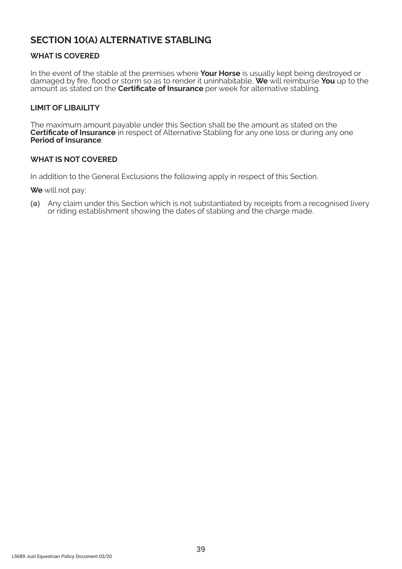# **SECTION 10(A) ALTERNATIVE STABLING**

# **WHAT IS COVERED**

In the event of the stable at the premises where **Your Horse** is usually kept being destroyed or damaged by fire, flood or storm so as to render it uninhabitable, **We** will reimburse **You** up to the amount as stated on the **Certificate of Insurance** per week for alternative stabling.

# **LIMIT OF LIBAILITY**

The maximum amount payable under this Section shall be the amount as stated on the **Certificate of Insurance** in respect of Alternative Stabling for any one loss or during any one **Period of Insurance**.

### **WHAT IS NOT COVERED**

In addition to the General Exclusions the following apply in respect of this Section.

**We** will not pay:

(a) Any claim under this Section which is not substantiated by receipts from a recognised livery or riding establishment showing the dates of stabling and the charge made.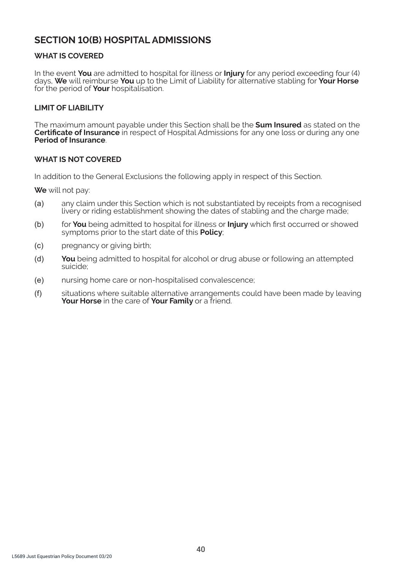# **SECTION 10(B) HOSPITAL ADMISSIONS**

# **WHAT IS COVERED**

In the event **You** are admitted to hospital for illness or **Injury** for any period exceeding four (4) days, **We** will reimburse **You** up to the Limit of Liability for alternative stabling for **Your Horse** for the period of **Your** hospitalisation.

### **LIMIT OF LIABILITY**

The maximum amount payable under this Section shall be the **Sum Insured** as stated on the **Certificate of Insurance** in respect of Hospital Admissions for any one loss or during any one **Period of Insurance**.

### **WHAT IS NOT COVERED**

In addition to the General Exclusions the following apply in respect of this Section.

**We** will not pay:

- (a) any claim under this Section which is not substantiated by receipts from a recognised livery or riding establishment showing the dates of stabling and the charge made;
- (b) for **You** being admitted to hospital for illness or **Injury** which first occurred or showed symptoms prior to the start date of this **Policy**;
- (c) pregnancy or giving birth;
- (d) **You** being admitted to hospital for alcohol or drug abuse or following an attempted suicide;
- (e) nursing home care or non-hospitalised convalescence;
- (f) situations where suitable alternative arrangements could have been made by leaving **Your Horse** in the care of **Your Family** or a friend.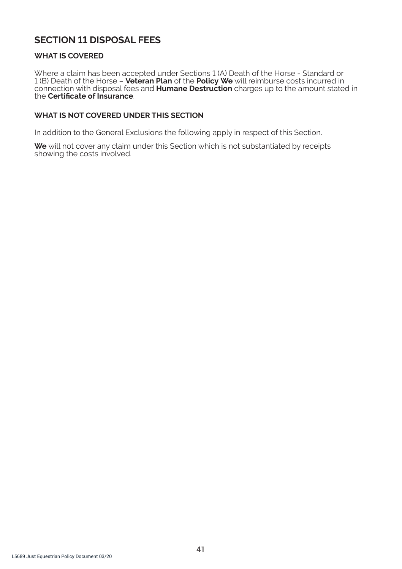# **SECTION 11 DISPOSAL FEES**

# **WHAT IS COVERED**

Where a claim has been accepted under Sections 1 (A) Death of the Horse - Standard or 1 (B) Death of the Horse – **Veteran Plan** of the **Policy We** will reimburse costs incurred in connection with disposal fees and **Humane Destruction** charges up to the amount stated in the **Certificate of Insurance**.

# **WHAT IS NOT COVERED UNDER THIS SECTION**

In addition to the General Exclusions the following apply in respect of this Section.

**We** will not cover any claim under this Section which is not substantiated by receipts showing the costs involved.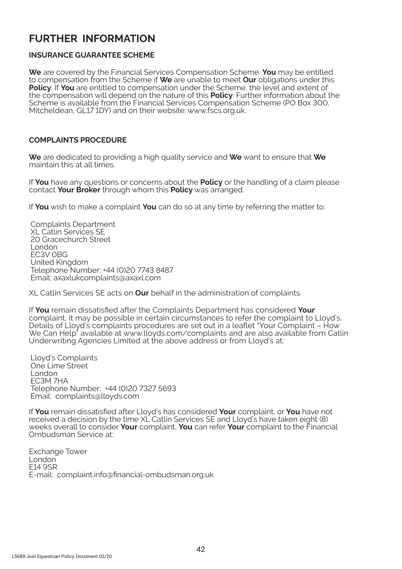# **FURTHER INFORMATION**

# **INSURANCE GUARANTEE SCHEME**

**We** are covered by the Financial Services Compensation Scheme. **You** may be entitled to compensation from the Scheme if **We** are unable to meet **Our** obligations under this **Policy**. If **You** are entitled to compensation under the Scheme, the level and extent of the compensation will depend on the nature of this **Policy**. Further information about the Scheme is available from the Financial Services Compensation Scheme (PO Box 300, Mitcheldean, GL17 1DY) and on their website: www.fscs.org.uk.

# **COMPLAINTS PROCEDURE**

**We** are dedicated to providing a high quality service and **We** want to ensure that **We** maintain this at all times.

If **You** have any questions or concerns about the **Policy** or the handling of a claim please contact **Your Broker** through whom this **Policy** was arranged.

If **You** wish to make a complaint **You** can do so at any time by referring the matter to:

Complaints Department XL Catlin Services SE 20 Gracechurch Street London EC3V 0BG United Kingdom Telephone Number: +44 (0)20 7743 8487 Email: axaxlukcomplaints@axaxl.com

XL Catlin Services SE acts on **Our** behalf in the administration of complaints.

If **You** remain dissatisfied after the Complaints Department has considered **Your** complaint, it may be possible in certain circumstances to refer the complaint to Lloyd's. Details of Lloyd's complaints procedures are set out in a leaflet "Your Complaint – How We Can Help" available at www.lloyds.com/complaints and are also available from Catlin Underwriting Agencies Limited at the above address or from Lloyd's at:

Lloyd's Complaints One Lime Street London EC3M 7HA Telephone Number: +44 (0)20 7327 5693 Email: complaints@lloyds.com

If **You** remain dissatisfied after Lloyd's has considered **Your** complaint, or **You** have not received a decision by the time XL Catlin Services SE and Lloyd's have taken eight (8) weeks overall to consider **Your** complaint, **You** can refer **Your** complaint to the Financial Ombudsman Service at:

Exchange Tower I ondon E14 9SR E-mail: complaint.info@financial-ombudsman.org.uk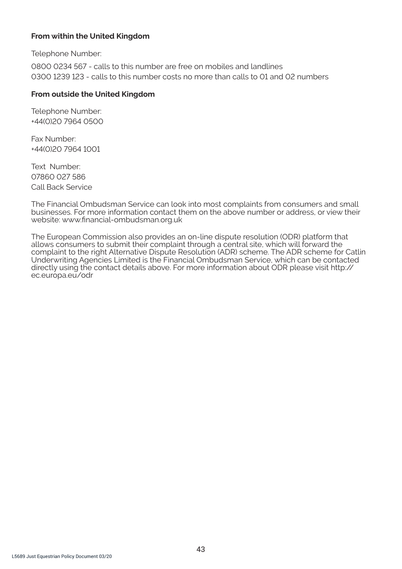# **From within the United Kingdom**

Telephone Number:

0800 0234 567 - calls to this number are free on mobiles and landlines 0300 1239 123 - calls to this number costs no more than calls to 01 and 02 numbers

### **From outside the United Kingdom**

Telephone Number: +44(0)20 7964 0500

Fax Number: +44(0)20 7964 1001

Text Number: 07860 027 586 Call Back Service

The Financial Ombudsman Service can look into most complaints from consumers and small businesses. For more information contact them on the above number or address, or view their website: www.financial-ombudsman.org.uk

The European Commission also provides an on-line dispute resolution (ODR) platform that allows consumers to submit their complaint through a central site, which will forward the complaint to the right Alternative Dispute Resolution (ADR) scheme. The ADR scheme for Catlin Underwriting Agencies Limited is the Financial Ombudsman Service, which can be contacted directly using the contact details above. For more information about ODR please visit http:// ec.europa.eu/odr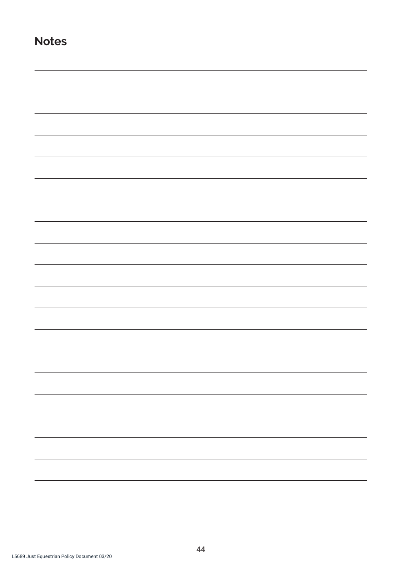**Notes**